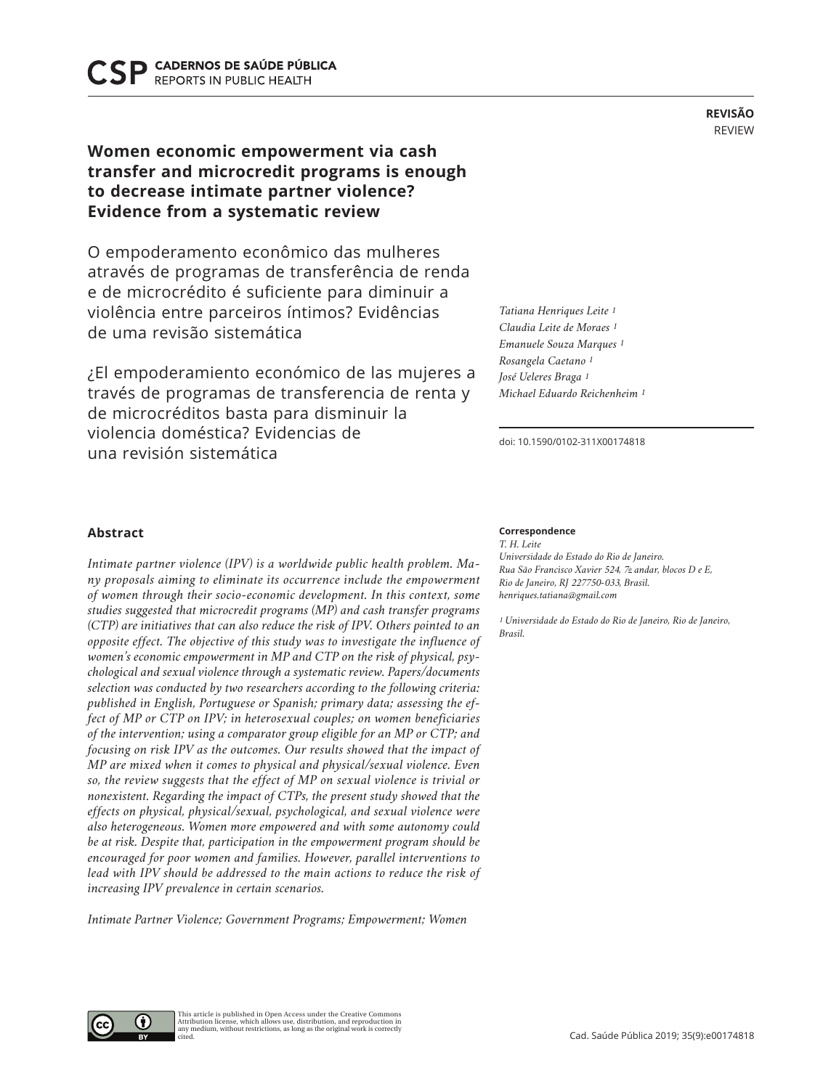CADERNOS DE SAÚDE PÚBLICA **REPORTS IN PUBLIC HEALTH** 

# **Women economic empowerment via cash transfer and microcredit programs is enough to decrease intimate partner violence? Evidence from a systematic review**

O empoderamento econômico das mulheres através de programas de transferência de renda e de microcrédito é suficiente para diminuir a violência entre parceiros íntimos? Evidências de uma revisão sistemática

¿El empoderamiento económico de las mujeres a través de programas de transferencia de renta y de microcréditos basta para disminuir la violencia doméstica? Evidencias de una revisión sistemática

# **REVISÃO**

REVIEW

*Tatiana Henriques Leite 1 Claudia Leite de Moraes 1 Emanuele Souza Marques 1 Rosangela Caetano 1 José Ueleres Braga 1 Michael Eduardo Reichenheim 1*

doi: 10.1590/0102-311X00174818

# **Abstract**

*Intimate partner violence (IPV) is a worldwide public health problem. Many proposals aiming to eliminate its occurrence include the empowerment of women through their socio-economic development. In this context, some studies suggested that microcredit programs (MP) and cash transfer programs (CTP) are initiatives that can also reduce the risk of IPV. Others pointed to an opposite effect. The objective of this study was to investigate the influence of women's economic empowerment in MP and CTP on the risk of physical, psychological and sexual violence through a systematic review. Papers/documents selection was conducted by two researchers according to the following criteria: published in English, Portuguese or Spanish; primary data; assessing the effect of MP or CTP on IPV; in heterosexual couples; on women beneficiaries of the intervention; using a comparator group eligible for an MP or CTP; and focusing on risk IPV as the outcomes. Our results showed that the impact of MP are mixed when it comes to physical and physical/sexual violence. Even so, the review suggests that the effect of MP on sexual violence is trivial or nonexistent. Regarding the impact of CTPs, the present study showed that the effects on physical, physical/sexual, psychological, and sexual violence were also heterogeneous. Women more empowered and with some autonomy could be at risk. Despite that, participation in the empowerment program should be encouraged for poor women and families. However, parallel interventions to lead with IPV should be addressed to the main actions to reduce the risk of increasing IPV prevalence in certain scenarios.*

*Intimate Partner Violence; Government Programs; Empowerment; Women*

# **Correspondence**

*T. H. Leite Universidade do Estado do Rio de Janeiro. Rua São Francisco Xavier 524, 7o andar, blocos D e E, Rio de Janeiro, RJ 227750-033, Brasil. henriques.tatiana@gmail.com*

*1 Universidade do Estado do Rio de Janeiro, Rio de Janeiro, Brasil.*

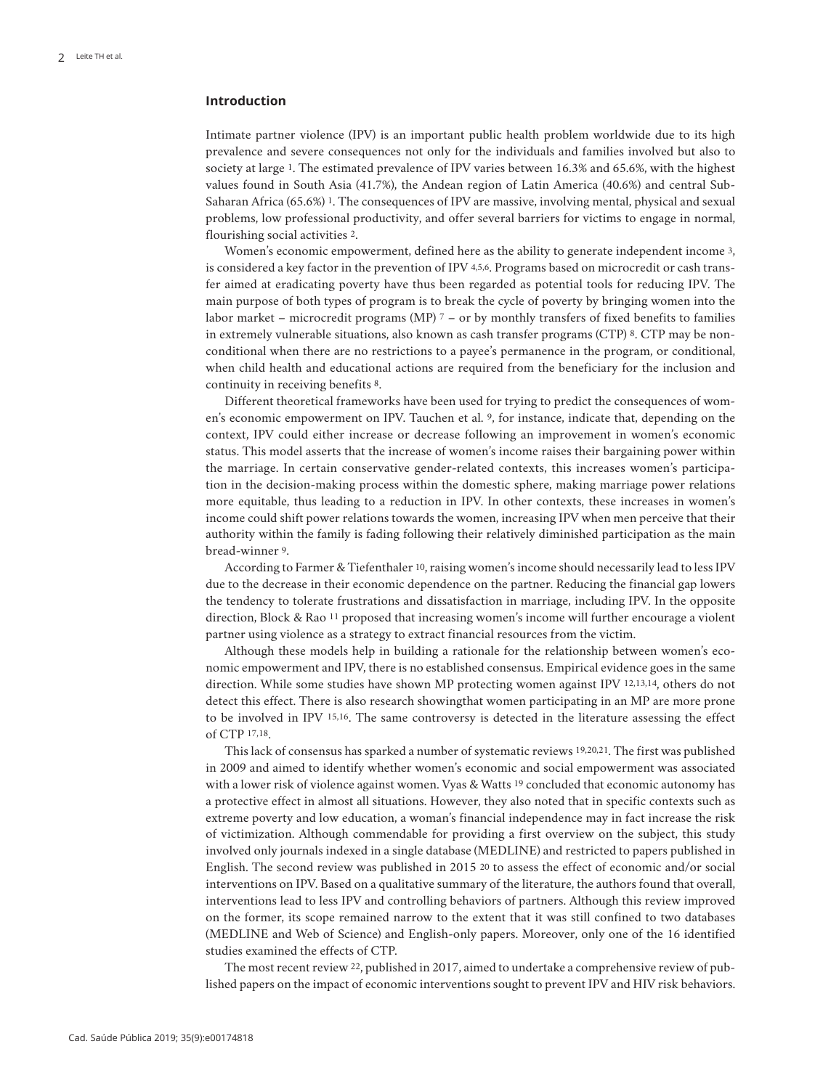# **Introduction**

Intimate partner violence (IPV) is an important public health problem worldwide due to its high prevalence and severe consequences not only for the individuals and families involved but also to society at large 1. The estimated prevalence of IPV varies between 16.3% and 65.6%, with the highest values found in South Asia (41.7%), the Andean region of Latin America (40.6%) and central Sub-Saharan Africa (65.6%) 1. The consequences of IPV are massive, involving mental, physical and sexual problems, low professional productivity, and offer several barriers for victims to engage in normal, flourishing social activities 2.

Women's economic empowerment, defined here as the ability to generate independent income 3, is considered a key factor in the prevention of IPV 4,5,6. Programs based on microcredit or cash transfer aimed at eradicating poverty have thus been regarded as potential tools for reducing IPV. The main purpose of both types of program is to break the cycle of poverty by bringing women into the labor market – microcredit programs (MP) 7 – or by monthly transfers of fixed benefits to families in extremely vulnerable situations, also known as cash transfer programs (CTP) 8. CTP may be nonconditional when there are no restrictions to a payee's permanence in the program, or conditional, when child health and educational actions are required from the beneficiary for the inclusion and continuity in receiving benefits 8.

Different theoretical frameworks have been used for trying to predict the consequences of women's economic empowerment on IPV. Tauchen et al. 9, for instance, indicate that, depending on the context, IPV could either increase or decrease following an improvement in women's economic status. This model asserts that the increase of women's income raises their bargaining power within the marriage. In certain conservative gender-related contexts, this increases women's participation in the decision-making process within the domestic sphere, making marriage power relations more equitable, thus leading to a reduction in IPV. In other contexts, these increases in women's income could shift power relations towards the women, increasing IPV when men perceive that their authority within the family is fading following their relatively diminished participation as the main bread-winner 9.

According to Farmer & Tiefenthaler 10, raising women's income should necessarily lead to less IPV due to the decrease in their economic dependence on the partner. Reducing the financial gap lowers the tendency to tolerate frustrations and dissatisfaction in marriage, including IPV. In the opposite direction, Block & Rao 11 proposed that increasing women's income will further encourage a violent partner using violence as a strategy to extract financial resources from the victim.

Although these models help in building a rationale for the relationship between women's economic empowerment and IPV, there is no established consensus. Empirical evidence goes in the same direction. While some studies have shown MP protecting women against IPV 12,13,14, others do not detect this effect. There is also research showingthat women participating in an MP are more prone to be involved in IPV 15,16. The same controversy is detected in the literature assessing the effect of CTP 17,18.

This lack of consensus has sparked a number of systematic reviews 19,20,21. The first was published in 2009 and aimed to identify whether women's economic and social empowerment was associated with a lower risk of violence against women. Vyas & Watts 19 concluded that economic autonomy has a protective effect in almost all situations. However, they also noted that in specific contexts such as extreme poverty and low education, a woman's financial independence may in fact increase the risk of victimization. Although commendable for providing a first overview on the subject, this study involved only journals indexed in a single database (MEDLINE) and restricted to papers published in English. The second review was published in 2015 20 to assess the effect of economic and/or social interventions on IPV. Based on a qualitative summary of the literature, the authors found that overall, interventions lead to less IPV and controlling behaviors of partners. Although this review improved on the former, its scope remained narrow to the extent that it was still confined to two databases (MEDLINE and Web of Science) and English-only papers. Moreover, only one of the 16 identified studies examined the effects of CTP.

The most recent review 22, published in 2017, aimed to undertake a comprehensive review of published papers on the impact of economic interventions sought to prevent IPV and HIV risk behaviors.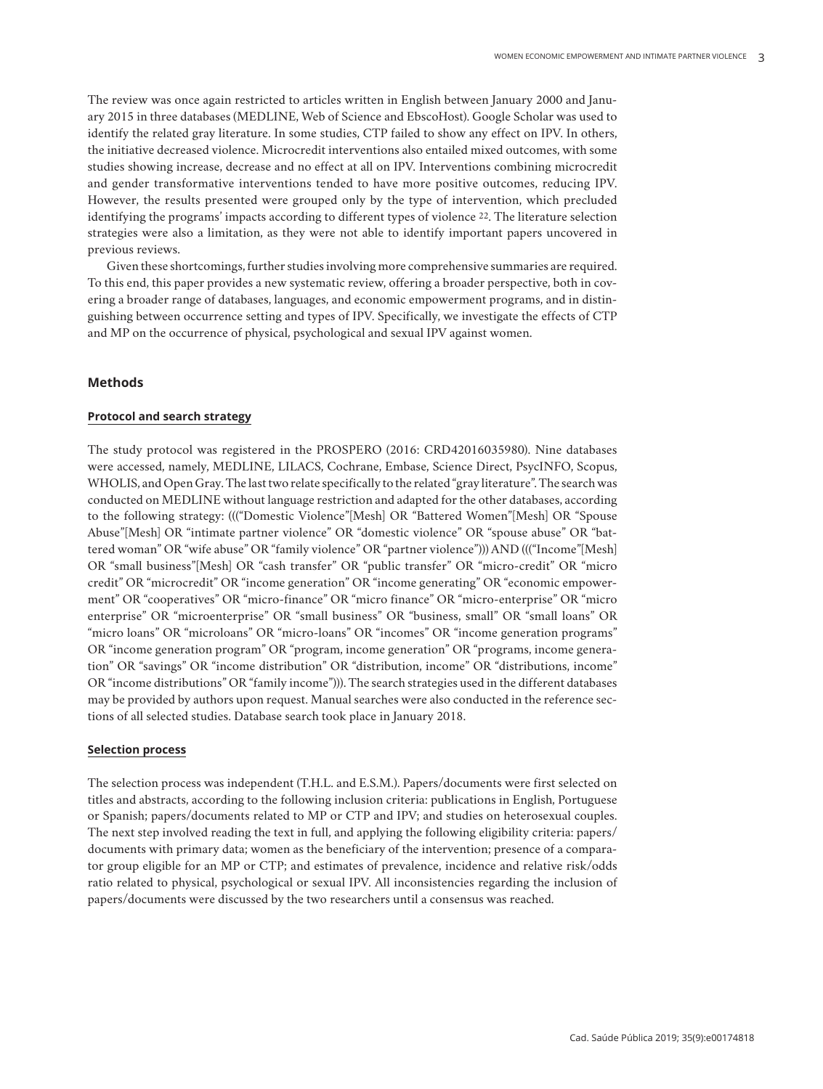The review was once again restricted to articles written in English between January 2000 and January 2015 in three databases (MEDLINE, Web of Science and EbscoHost). Google Scholar was used to identify the related gray literature. In some studies, CTP failed to show any effect on IPV. In others, the initiative decreased violence. Microcredit interventions also entailed mixed outcomes, with some studies showing increase, decrease and no effect at all on IPV. Interventions combining microcredit and gender transformative interventions tended to have more positive outcomes, reducing IPV. However, the results presented were grouped only by the type of intervention, which precluded identifying the programs' impacts according to different types of violence 22. The literature selection strategies were also a limitation, as they were not able to identify important papers uncovered in previous reviews.

Given these shortcomings, further studies involving more comprehensive summaries are required. To this end, this paper provides a new systematic review, offering a broader perspective, both in covering a broader range of databases, languages, and economic empowerment programs, and in distinguishing between occurrence setting and types of IPV. Specifically, we investigate the effects of CTP and MP on the occurrence of physical, psychological and sexual IPV against women.

# **Methods**

# **Protocol and search strategy**

The study protocol was registered in the PROSPERO (2016: CRD42016035980). Nine databases were accessed, namely, MEDLINE, LILACS, Cochrane, Embase, Science Direct, PsycINFO, Scopus, WHOLIS, and Open Gray. The last two relate specifically to the related "gray literature". The search was conducted on MEDLINE without language restriction and adapted for the other databases, according to the following strategy: ((("Domestic Violence"[Mesh] OR "Battered Women"[Mesh] OR "Spouse Abuse"[Mesh] OR "intimate partner violence" OR "domestic violence" OR "spouse abuse" OR "battered woman" OR "wife abuse" OR "family violence" OR "partner violence"))) AND ((("Income"[Mesh] OR "small business"[Mesh] OR "cash transfer" OR "public transfer" OR "micro-credit" OR "micro credit" OR "microcredit" OR "income generation" OR "income generating" OR "economic empowerment" OR "cooperatives" OR "micro-finance" OR "micro finance" OR "micro-enterprise" OR "micro enterprise" OR "microenterprise" OR "small business" OR "business, small" OR "small loans" OR "micro loans" OR "microloans" OR "micro-loans" OR "incomes" OR "income generation programs" OR "income generation program" OR "program, income generation" OR "programs, income generation" OR "savings" OR "income distribution" OR "distribution, income" OR "distributions, income" OR "income distributions" OR "family income"))). The search strategies used in the different databases may be provided by authors upon request. Manual searches were also conducted in the reference sections of all selected studies. Database search took place in January 2018.

#### **Selection process**

The selection process was independent (T.H.L. and E.S.M.). Papers/documents were first selected on titles and abstracts, according to the following inclusion criteria: publications in English, Portuguese or Spanish; papers/documents related to MP or CTP and IPV; and studies on heterosexual couples. The next step involved reading the text in full, and applying the following eligibility criteria: papers/ documents with primary data; women as the beneficiary of the intervention; presence of a comparator group eligible for an MP or CTP; and estimates of prevalence, incidence and relative risk/odds ratio related to physical, psychological or sexual IPV. All inconsistencies regarding the inclusion of papers/documents were discussed by the two researchers until a consensus was reached.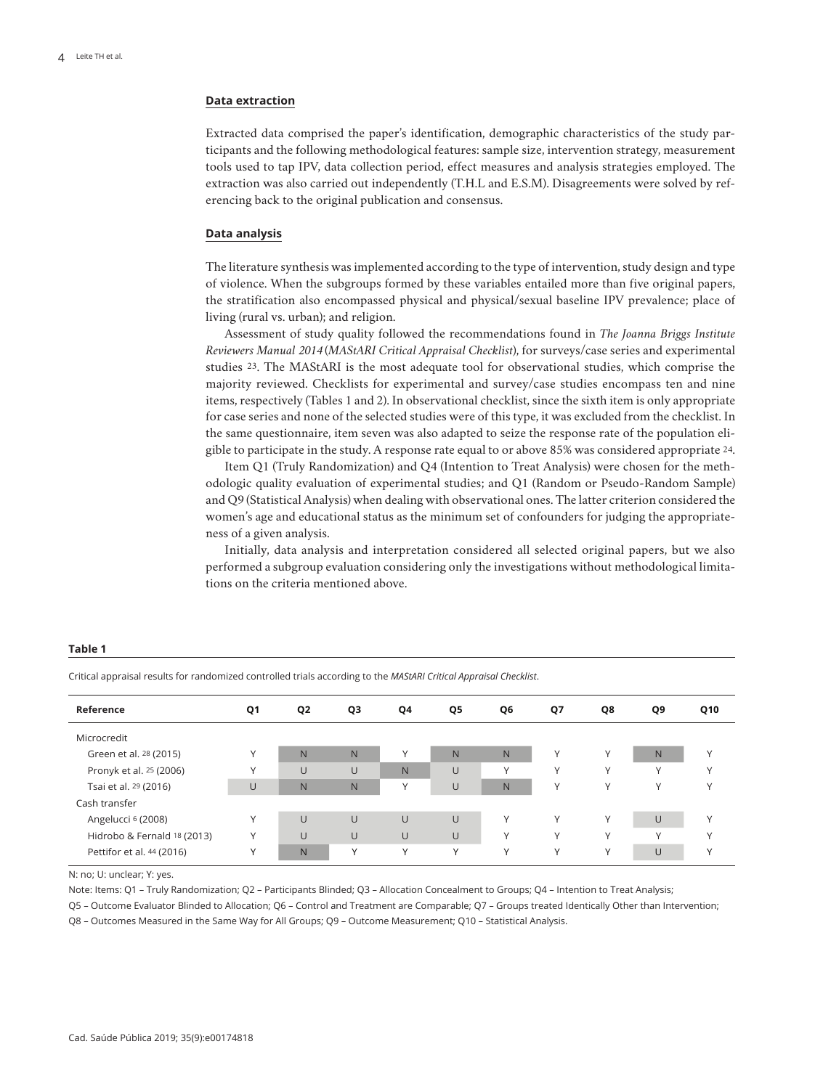#### **Data extraction**

Extracted data comprised the paper's identification, demographic characteristics of the study participants and the following methodological features: sample size, intervention strategy, measurement tools used to tap IPV, data collection period, effect measures and analysis strategies employed. The extraction was also carried out independently (T.H.L and E.S.M). Disagreements were solved by referencing back to the original publication and consensus.

#### **Data analysis**

The literature synthesis was implemented according to the type of intervention, study design and type of violence. When the subgroups formed by these variables entailed more than five original papers, the stratification also encompassed physical and physical/sexual baseline IPV prevalence; place of living (rural vs. urban); and religion.

Assessment of study quality followed the recommendations found in *The Joanna Briggs Institute Reviewers Manual 2014* (*MAStARI Critical Appraisal Checklist*), for surveys/case series and experimental studies 23. The MAStARI is the most adequate tool for observational studies, which comprise the majority reviewed. Checklists for experimental and survey/case studies encompass ten and nine items, respectively (Tables 1 and 2). In observational checklist, since the sixth item is only appropriate for case series and none of the selected studies were of this type, it was excluded from the checklist. In the same questionnaire, item seven was also adapted to seize the response rate of the population eligible to participate in the study. A response rate equal to or above 85% was considered appropriate 24.

Item Q1 (Truly Randomization) and Q4 (Intention to Treat Analysis) were chosen for the methodologic quality evaluation of experimental studies; and Q1 (Random or Pseudo-Random Sample) and Q9 (Statistical Analysis) when dealing with observational ones. The latter criterion considered the women's age and educational status as the minimum set of confounders for judging the appropriateness of a given analysis.

Initially, data analysis and interpretation considered all selected original papers, but we also performed a subgroup evaluation considering only the investigations without methodological limitations on the criteria mentioned above.

#### **Table 1**

Critical appraisal results for randomized controlled trials according to the *MAStARI Critical Appraisal Checklist*.

| Reference                     | Q1 | Q <sub>2</sub> | Q3     | Q4     | Q5 | Q6           | Q7           | Q8 | Q9           | Q10          |
|-------------------------------|----|----------------|--------|--------|----|--------------|--------------|----|--------------|--------------|
| Microcredit                   |    |                |        |        |    |              |              |    |              |              |
| Green et al. 28 (2015)        | Υ  | N.             | N      | Υ      | N. | N            | ٧            | Y  | N            | $\checkmark$ |
| Pronyk et al. 25 (2006)       | Υ  | U              | $\cup$ | N      | U  | $\vee$       | $\checkmark$ | Υ  | $\checkmark$ | $\checkmark$ |
| Tsai et al. 29 (2016)         | U  | N.             | N      | Υ      | U  | N            | $\vee$       | Υ  | $\vee$       | $\checkmark$ |
| Cash transfer                 |    |                |        |        |    |              |              |    |              |              |
| Angelucci <sup>6</sup> (2008) | Υ  | U              | U      | $\cup$ | U  | $\checkmark$ | $\vee$       | Υ  | U            | $\checkmark$ |
| Hidrobo & Fernald 18 (2013)   | Υ  | U              | U      | $\cup$ | U  | $\checkmark$ | $\checkmark$ | Υ  | V            | $\checkmark$ |
| Pettifor et al. 44 (2016)     | Υ  | N              | Υ      | Υ      | Υ  | v            | v            | Υ  | U            | $\checkmark$ |

N: no; U: unclear; Y: yes.

Note: Items: Q1 – Truly Randomization; Q2 – Participants Blinded; Q3 – Allocation Concealment to Groups; Q4 – Intention to Treat Analysis;

Q5 – Outcome Evaluator Blinded to Allocation; Q6 – Control and Treatment are Comparable; Q7 – Groups treated Identically Other than Intervention; Q8 – Outcomes Measured in the Same Way for All Groups; Q9 – Outcome Measurement; Q10 – Statistical Analysis.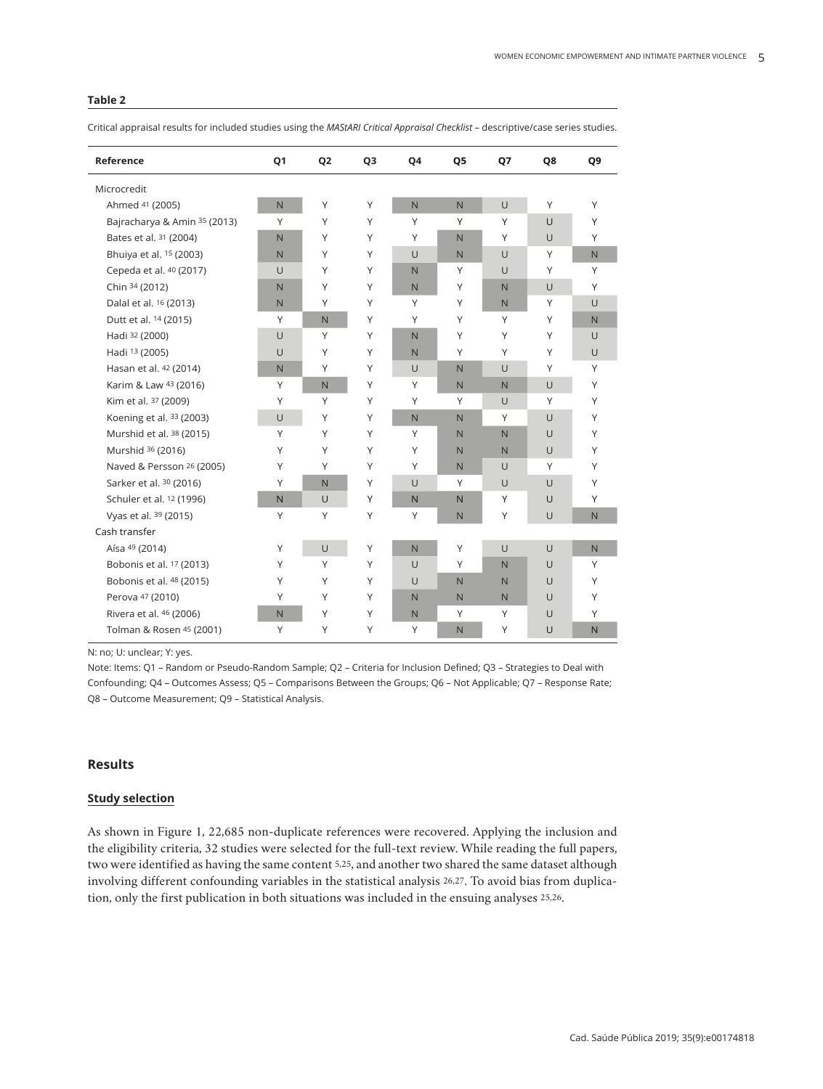# **Table 2**

| Reference                    | Q1             | Q <sub>2</sub> | Q <sub>3</sub> | Q4           | Q5             | Q7           | Q8     | Q9             |
|------------------------------|----------------|----------------|----------------|--------------|----------------|--------------|--------|----------------|
| Microcredit                  |                |                |                |              |                |              |        |                |
| Ahmed 41 (2005)              | $\mathsf{N}$   | Y              | Υ              | N            | N              | $\cup$       | Υ      | Υ              |
| Bajracharya & Amin 35 (2013) | Y              | Y              | Y              | Y            | Y              | Y            | U      | Υ              |
| Bates et al. 31 (2004)       | N              | Y              | Y              | Y            | N              | Y            | U      | Y              |
| Bhuiya et al. 15 (2003)      | N              | Y              | Υ              | U            | $\overline{N}$ | U            | Y      | $\overline{N}$ |
| Cepeda et al. 40 (2017)      | U              | Y              | Υ              | N            | Υ              | U            | Y      | Y              |
| Chin 34 (2012)               | N              | Y              | Υ              | N            | Υ              | N            | $\cup$ | Υ              |
| Dalal et al. 16 (2013)       | N              | Y              | Y              | Y            | Y              | $\mathsf{N}$ | Y      | U              |
| Dutt et al. 14 (2015)        | Y              | $\overline{N}$ | Y              | Y            | Y              | Y            | Y      | N              |
| Hadi 32 (2000)               | $\cup$         | Y              | Υ              | $\mathsf{N}$ | Y              | Y            | Υ      | $\cup$         |
| Hadi 13 (2005)               | U              | Y              | Υ              | $\mathsf{N}$ | Y              | Y            | Υ      | U              |
| Hasan et al. 42 (2014)       | N              | Y              | Υ              | U            | N              | $\cup$       | Υ      | Υ              |
| Karim & Law 43 (2016)        | Y              | $\mathsf{N}$   | Y              | Y            | N              | $\mathsf{N}$ | U      | Υ              |
| Kim et al. 37 (2009)         | Y              | Y              | Y              | Y            | Y              | $\cup$       | Y      | Υ              |
| Koening et al. 33 (2003)     | U              | Y              | Υ              | $\mathsf{N}$ | $\mathsf{N}$   | Υ            | U      | Υ              |
| Murshid et al. 38 (2015)     | Y              | Υ              | Υ              | Y            | N              | $\mathsf{N}$ | U      | Υ              |
| Murshid 36 (2016)            | Y              | Y              | Y              | Y            | N              | $\mathsf{N}$ | U      | Y              |
| Naved & Persson 26 (2005)    | Υ              | Y              | Υ              | Y            | N              | U            | Υ      | Υ              |
| Sarker et al. 30 (2016)      | Υ              | N              | Y              | $\cup$       | Y              | U            | U      | Υ              |
| Schuler et al. 12 (1996)     | $\overline{N}$ | U              | Υ              | $\mathsf{N}$ | N              | Y            | U      | Y              |
| Vyas et al. 39 (2015)        | Y              | Y              | Y              | Υ            | N              | Υ            | U      | N              |
| Cash transfer                |                |                |                |              |                |              |        |                |
| Aísa <sup>49</sup> (2014)    | Υ              | $\cup$         | Y              | N            | Y              | U            | U      | N              |
| Bobonis et al. 17 (2013)     | Υ              | Y              | Υ              | $\cup$       | Υ              | N            | U      | Y              |
| Bobonis et al. 48 (2015)     | Y              | Y              | Υ              | U            | $\overline{N}$ | N            | U      | Υ              |
| Perova 47 (2010)             | Υ              | Y              | Υ              | $\mathsf{N}$ | $\mathsf{N}$   | $\mathsf{N}$ | U      | Υ              |
| Rivera et al. 46 (2006)      | N              | Y              | Y              | N            | Y              | Υ            | U      | Υ              |
| Tolman & Rosen 45 (2001)     | Y              | Y              | Y              | Υ            | $\overline{N}$ | Υ            | U      | N              |

Critical appraisal results for included studies using the *MAStARI Critical Appraisal Checklist* – descriptive/case series studies.

N: no; U: unclear; Y: yes.

Note: Items: Q1 – Random or Pseudo-Random Sample; Q2 – Criteria for Inclusion Defined; Q3 – Strategies to Deal with Confounding; Q4 – Outcomes Assess; Q5 – Comparisons Between the Groups; Q6 – Not Applicable; Q7 – Response Rate; Q8 – Outcome Measurement; Q9 – Statistical Analysis.

# **Results**

# **Study selection**

As shown in Figure 1, 22,685 non-duplicate references were recovered. Applying the inclusion and the eligibility criteria, 32 studies were selected for the full-text review. While reading the full papers, two were identified as having the same content 5,25, and another two shared the same dataset although involving different confounding variables in the statistical analysis 26,27. To avoid bias from duplication, only the first publication in both situations was included in the ensuing analyses 25,26.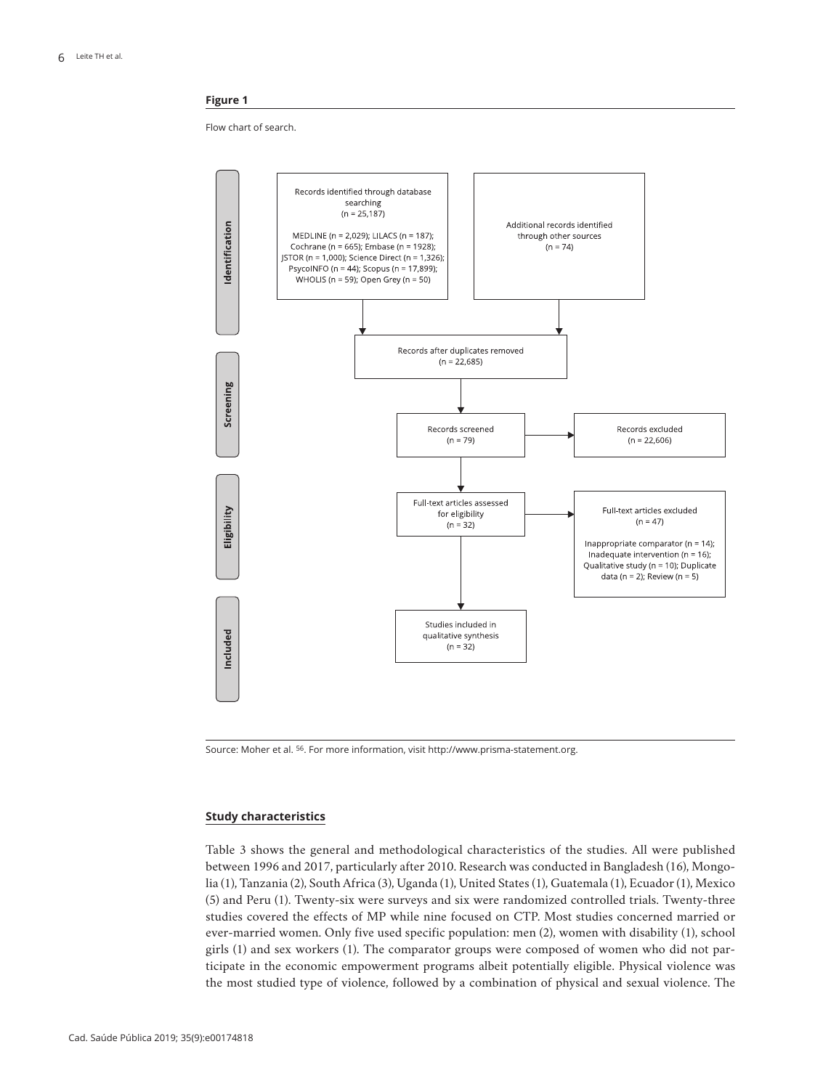#### **Figure 1**

Flow chart of search.



Source: Moher et al. 56. For more information, visit http://www.prisma-statement.org.

## **Study characteristics**

Table 3 shows the general and methodological characteristics of the studies. All were published between 1996 and 2017, particularly after 2010. Research was conducted in Bangladesh (16), Mongolia (1), Tanzania (2), South Africa (3), Uganda (1), United States (1), Guatemala (1), Ecuador (1), Mexico (5) and Peru (1). Twenty-six were surveys and six were randomized controlled trials. Twenty-three studies covered the effects of MP while nine focused on CTP. Most studies concerned married or ever-married women. Only five used specific population: men (2), women with disability (1), school girls (1) and sex workers (1). The comparator groups were composed of women who did not participate in the economic empowerment programs albeit potentially eligible. Physical violence was the most studied type of violence, followed by a combination of physical and sexual violence. The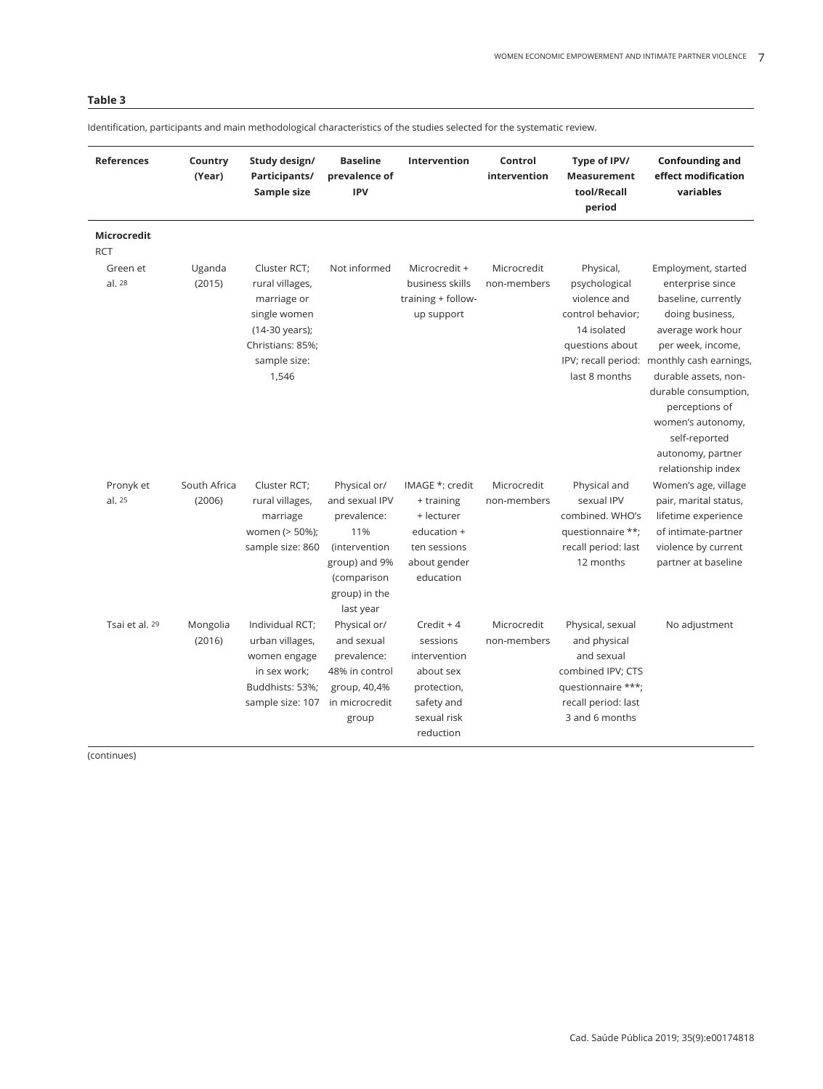# **Table 3**

| <b>References</b>               | Country<br>(Year)      | Study design/<br>Participants/<br>Sample size                                                                                 | <b>Baseline</b><br>prevalence of<br><b>IPV</b>                                                                                              | Intervention                                                                                                   | Control<br>intervention    | Type of IPV/<br><b>Measurement</b><br>tool/Recall<br>period                                                                        | <b>Confounding and</b><br>effect modification<br>variables                                                                                                                                                                                                                                             |
|---------------------------------|------------------------|-------------------------------------------------------------------------------------------------------------------------------|---------------------------------------------------------------------------------------------------------------------------------------------|----------------------------------------------------------------------------------------------------------------|----------------------------|------------------------------------------------------------------------------------------------------------------------------------|--------------------------------------------------------------------------------------------------------------------------------------------------------------------------------------------------------------------------------------------------------------------------------------------------------|
| <b>Microcredit</b>              |                        |                                                                                                                               |                                                                                                                                             |                                                                                                                |                            |                                                                                                                                    |                                                                                                                                                                                                                                                                                                        |
| <b>RCT</b><br>Green et<br>al.28 | Uganda<br>(2015)       | Cluster RCT;<br>rural villages,<br>marriage or<br>single women<br>(14-30 years);<br>Christians: 85%;<br>sample size:<br>1,546 | Not informed                                                                                                                                | Microcredit +<br>business skills<br>training + follow-<br>up support                                           | Microcredit<br>non-members | Physical,<br>psychological<br>violence and<br>control behavior;<br>14 isolated<br>questions about<br>last 8 months                 | Employment, started<br>enterprise since<br>baseline, currently<br>doing business,<br>average work hour<br>per week, income,<br>IPV; recall period: monthly cash earnings,<br>durable assets, non-<br>durable consumption,<br>perceptions of<br>women's autonomy,<br>self-reported<br>autonomy, partner |
| Pronyk et<br>al. 25             | South Africa<br>(2006) | Cluster RCT;<br>rural villages,<br>marriage<br>women (> 50%);<br>sample size: 860                                             | Physical or/<br>and sexual IPV<br>prevalence:<br>11%<br><i>(intervention)</i><br>group) and 9%<br>(comparison<br>group) in the<br>last year | IMAGE *: credit<br>+ training<br>+ lecturer<br>education +<br>ten sessions<br>about gender<br>education        | Microcredit<br>non-members | Physical and<br>sexual IPV<br>combined. WHO's<br>questionnaire **;<br>recall period: last<br>12 months                             | relationship index<br>Women's age, village<br>pair, marital status,<br>lifetime experience<br>of intimate-partner<br>violence by current<br>partner at baseline                                                                                                                                        |
| Tsai et al. 29                  | Mongolia<br>(2016)     | Individual RCT;<br>urban villages,<br>women engage<br>in sex work;<br>Buddhists: 53%;<br>sample size: 107                     | Physical or/<br>and sexual<br>prevalence:<br>48% in control<br>group, 40,4%<br>in microcredit<br>group                                      | $Credit + 4$<br>sessions<br>intervention<br>about sex<br>protection,<br>safety and<br>sexual risk<br>reduction | Microcredit<br>non-members | Physical, sexual<br>and physical<br>and sexual<br>combined IPV; CTS<br>questionnaire ***;<br>recall period: last<br>3 and 6 months | No adjustment                                                                                                                                                                                                                                                                                          |

Identification, participants and main methodological characteristics of the studies selected for the systematic review.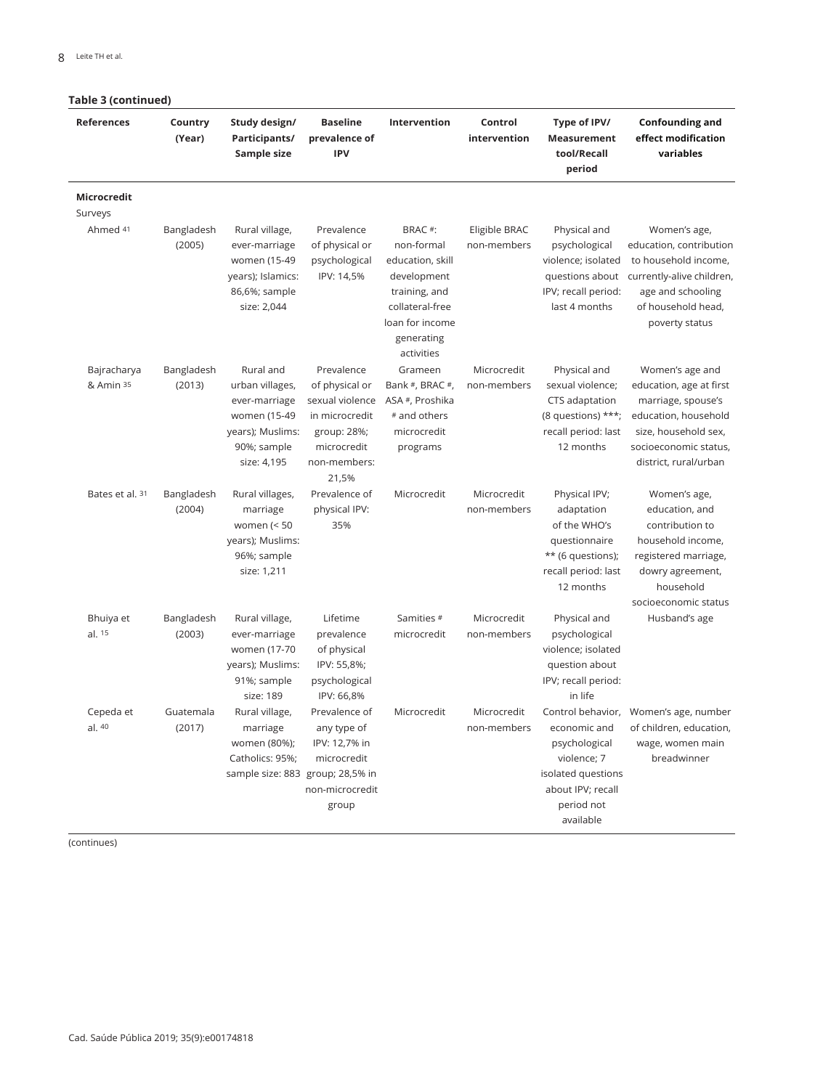| <b>References</b>        | Country<br>(Year)    | Study design/<br>Participants/<br>Sample size                                                                   | <b>Baseline</b><br>prevalence of<br><b>IPV</b>                                                                           | Intervention                                                                                                                                            | Control<br>intervention      | Type of IPV/<br>Measurement<br>tool/Recall<br>period                                                                                    | <b>Confounding and</b><br>effect modification<br>variables                                                                                                         |
|--------------------------|----------------------|-----------------------------------------------------------------------------------------------------------------|--------------------------------------------------------------------------------------------------------------------------|---------------------------------------------------------------------------------------------------------------------------------------------------------|------------------------------|-----------------------------------------------------------------------------------------------------------------------------------------|--------------------------------------------------------------------------------------------------------------------------------------------------------------------|
| <b>Microcredit</b>       |                      |                                                                                                                 |                                                                                                                          |                                                                                                                                                         |                              |                                                                                                                                         |                                                                                                                                                                    |
| Surveys                  |                      |                                                                                                                 |                                                                                                                          |                                                                                                                                                         |                              |                                                                                                                                         |                                                                                                                                                                    |
| Ahmed 41                 | Bangladesh<br>(2005) | Rural village,<br>ever-marriage<br>women (15-49<br>years); Islamics:<br>86,6%; sample<br>size: 2,044            | Prevalence<br>of physical or<br>psychological<br>IPV: 14,5%                                                              | BRAC <sup>#</sup> :<br>non-formal<br>education, skill<br>development<br>training, and<br>collateral-free<br>loan for income<br>generating<br>activities | Eligible BRAC<br>non-members | Physical and<br>psychological<br>violence; isolated<br>questions about<br>IPV; recall period:<br>last 4 months                          | Women's age,<br>education, contribution<br>to household income,<br>currently-alive children,<br>age and schooling<br>of household head,<br>poverty status          |
| Bajracharya<br>& Amin 35 | Bangladesh<br>(2013) | Rural and<br>urban villages,<br>ever-marriage<br>women (15-49<br>years); Muslims:<br>90%; sample<br>size: 4,195 | Prevalence<br>of physical or<br>sexual violence<br>in microcredit<br>group: 28%;<br>microcredit<br>non-members:<br>21,5% | Grameen<br>Bank #, BRAC #,<br>ASA #, Proshika<br># and others<br>microcredit<br>programs                                                                | Microcredit<br>non-members   | Physical and<br>sexual violence;<br>CTS adaptation<br>$(8$ questions) ***;<br>recall period: last<br>12 months                          | Women's age and<br>education, age at first<br>marriage, spouse's<br>education, household<br>size, household sex,<br>socioeconomic status,<br>district, rural/urban |
| Bates et al. 31          | Bangladesh<br>(2004) | Rural villages,<br>marriage<br>women $(50years); Muslims:96%; samplesize: 1,211$                                | Prevalence of<br>physical IPV:<br>35%                                                                                    | Microcredit                                                                                                                                             | Microcredit<br>non-members   | Physical IPV;<br>adaptation<br>of the WHO's<br>questionnaire<br>** (6 questions);<br>recall period: last<br>12 months                   | Women's age,<br>education, and<br>contribution to<br>household income,<br>registered marriage,<br>dowry agreement,<br>household<br>socioeconomic status            |
| Bhuiya et<br>al. 15      | Bangladesh<br>(2003) | Rural village,<br>ever-marriage<br>women (17-70<br>years); Muslims:<br>91%; sample<br>size: 189                 | Lifetime<br>prevalence<br>of physical<br>IPV: 55,8%;<br>psychological<br>IPV: 66,8%                                      | Samities #<br>microcredit                                                                                                                               | Microcredit<br>non-members   | Physical and<br>psychological<br>violence; isolated<br>question about<br>IPV; recall period:<br>in life                                 | Husband's age                                                                                                                                                      |
| Cepeda et<br>al. 40      | Guatemala<br>(2017)  | Rural village,<br>marriage<br>women (80%);<br>Catholics: 95%;<br>sample size: 883 group; 28,5% in               | Prevalence of<br>any type of<br>IPV: 12,7% in<br>microcredit<br>non-microcredit<br>group                                 | Microcredit                                                                                                                                             | Microcredit<br>non-members   | Control behavior,<br>economic and<br>psychological<br>violence; 7<br>isolated questions<br>about IPV; recall<br>period not<br>available | Women's age, number<br>of children, education,<br>wage, women main<br>breadwinner                                                                                  |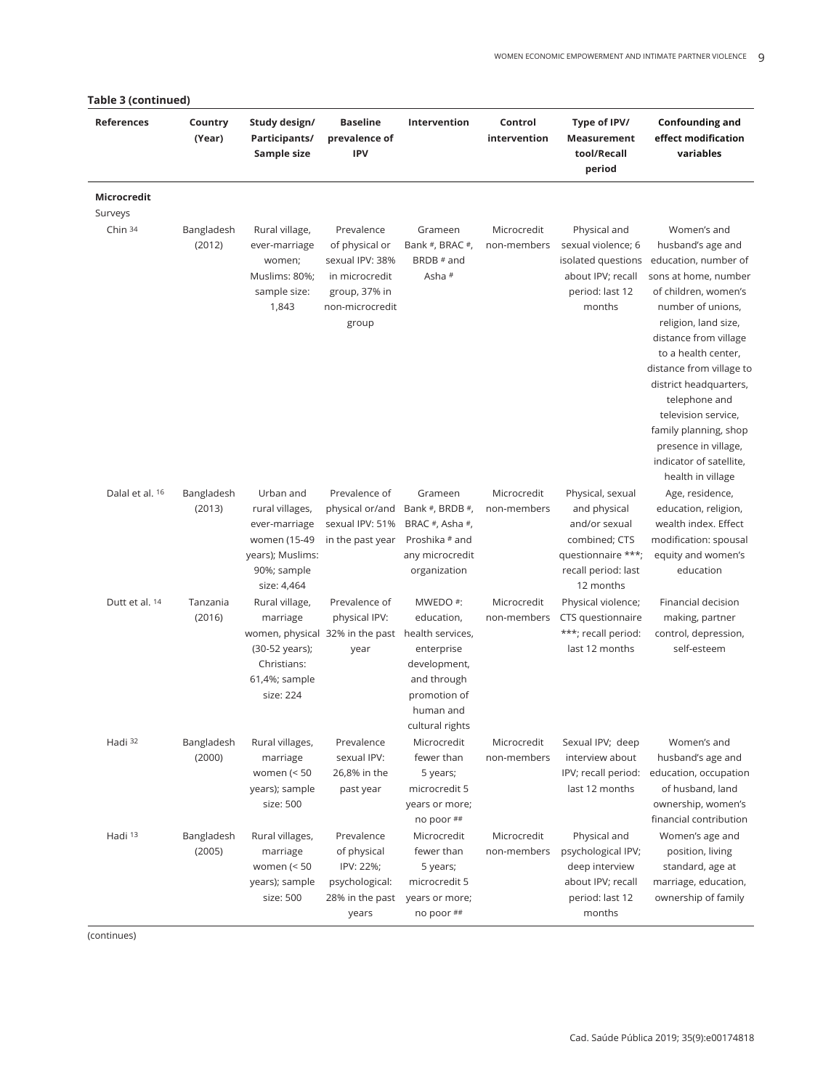| <b>References</b> | Country<br>(Year)    | Study design/<br>Participants/<br>Sample size                                                                                                 | <b>Baseline</b><br>prevalence of<br><b>IPV</b>                                                                 | Intervention                                                                                                       | Control<br>intervention    | Type of IPV/<br><b>Measurement</b><br>tool/Recall<br>period                                                                  | Confounding and<br>effect modification<br>variables                                                                                                                                                                                                                                                                                                                                                  |
|-------------------|----------------------|-----------------------------------------------------------------------------------------------------------------------------------------------|----------------------------------------------------------------------------------------------------------------|--------------------------------------------------------------------------------------------------------------------|----------------------------|------------------------------------------------------------------------------------------------------------------------------|------------------------------------------------------------------------------------------------------------------------------------------------------------------------------------------------------------------------------------------------------------------------------------------------------------------------------------------------------------------------------------------------------|
| Microcredit       |                      |                                                                                                                                               |                                                                                                                |                                                                                                                    |                            |                                                                                                                              |                                                                                                                                                                                                                                                                                                                                                                                                      |
| Surveys           |                      |                                                                                                                                               |                                                                                                                |                                                                                                                    |                            |                                                                                                                              |                                                                                                                                                                                                                                                                                                                                                                                                      |
| Chin 34           | Bangladesh<br>(2012) | Rural village,<br>ever-marriage<br>women;<br>Muslims: 80%;<br>sample size:<br>1,843                                                           | Prevalence<br>of physical or<br>sexual IPV: 38%<br>in microcredit<br>group, 37% in<br>non-microcredit<br>group | Grameen<br>Bank #, BRAC #,<br>BRDB # and<br>Asha #                                                                 | Microcredit<br>non-members | Physical and<br>sexual violence; 6<br>isolated questions<br>about IPV; recall<br>period: last 12<br>months                   | Women's and<br>husband's age and<br>education, number of<br>sons at home, number<br>of children, women's<br>number of unions,<br>religion, land size,<br>distance from village<br>to a health center,<br>distance from village to<br>district headquarters,<br>telephone and<br>television service,<br>family planning, shop<br>presence in village,<br>indicator of satellite,<br>health in village |
| Dalal et al. 16   | Bangladesh<br>(2013) | Urban and<br>rural villages,<br>ever-marriage<br>women (15-49<br>years); Muslims:<br>90%; sample<br>size: 4,464                               | Prevalence of<br>physical or/and<br>sexual IPV: 51%<br>in the past year                                        | Grameen<br>Bank #, BRDB #,<br>BRAC #, Asha #,<br>Proshika # and<br>any microcredit<br>organization                 | Microcredit<br>non-members | Physical, sexual<br>and physical<br>and/or sexual<br>combined; CTS<br>questionnaire ***;<br>recall period: last<br>12 months | Age, residence,<br>education, religion,<br>wealth index. Effect<br>modification: spousal<br>equity and women's<br>education                                                                                                                                                                                                                                                                          |
| Dutt et al. 14    | Tanzania<br>(2016)   | Rural village,<br>marriage<br>women, physical 32% in the past health services,<br>(30-52 years);<br>Christians:<br>61,4%; sample<br>size: 224 | Prevalence of<br>physical IPV:<br>year                                                                         | MWEDO#:<br>education,<br>enterprise<br>development,<br>and through<br>promotion of<br>human and<br>cultural rights | Microcredit<br>non-members | Physical violence;<br>CTS questionnaire<br>***; recall period:<br>last 12 months                                             | Financial decision<br>making, partner<br>control, depression,<br>self-esteem                                                                                                                                                                                                                                                                                                                         |
| Hadi 32           | Bangladesh<br>(2000) | Rural villages,<br>marriage<br>women $(50years); samplesize: 500$                                                                             | Prevalence<br>sexual IPV:<br>26,8% in the<br>past year                                                         | Microcredit<br>fewer than<br>5 years;<br>microcredit 5<br>years or more;<br>no poor ##                             | Microcredit<br>non-members | Sexual IPV; deep<br>interview about<br>IPV; recall period:<br>last 12 months                                                 | Women's and<br>husband's age and<br>education, occupation<br>of husband, land<br>ownership, women's<br>financial contribution                                                                                                                                                                                                                                                                        |
| Hadi 13           | Bangladesh<br>(2005) | Rural villages,<br>marriage<br>women $(50years); samplesize: 500$                                                                             | Prevalence<br>of physical<br>IPV: 22%;<br>psychological:<br>28% in the past<br>years                           | Microcredit<br>fewer than<br>5 years;<br>microcredit 5<br>years or more;<br>no poor ##                             | Microcredit<br>non-members | Physical and<br>psychological IPV;<br>deep interview<br>about IPV; recall<br>period: last 12<br>months                       | Women's age and<br>position, living<br>standard, age at<br>marriage, education,<br>ownership of family                                                                                                                                                                                                                                                                                               |

# **Table 3 (continued)**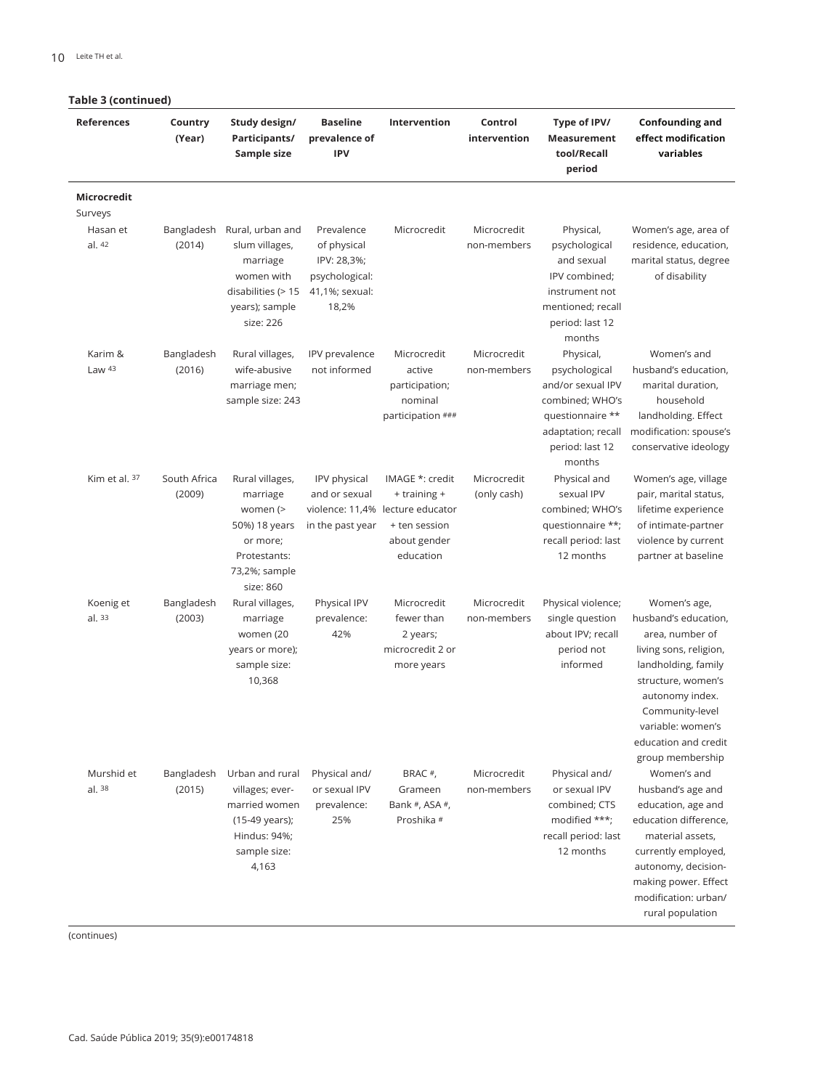| <b>References</b>             | Country<br>(Year)      | Study design/<br>Participants/<br>Sample size                                                                       | <b>Baseline</b><br>prevalence of<br><b>IPV</b>                                        | Intervention                                                                                      | Control<br>intervention    | Type of IPV/<br>Measurement<br>tool/Recall<br>period                                                                                      | <b>Confounding and</b><br>effect modification<br>variables                                                                                                                                                                            |
|-------------------------------|------------------------|---------------------------------------------------------------------------------------------------------------------|---------------------------------------------------------------------------------------|---------------------------------------------------------------------------------------------------|----------------------------|-------------------------------------------------------------------------------------------------------------------------------------------|---------------------------------------------------------------------------------------------------------------------------------------------------------------------------------------------------------------------------------------|
| <b>Microcredit</b>            |                        |                                                                                                                     |                                                                                       |                                                                                                   |                            |                                                                                                                                           |                                                                                                                                                                                                                                       |
| Surveys<br>Hasan et<br>al. 42 | Bangladesh<br>(2014)   | Rural, urban and<br>slum villages,<br>marriage<br>women with<br>disabilities $(> 15$<br>years); sample<br>size: 226 | Prevalence<br>of physical<br>IPV: 28,3%;<br>psychological:<br>41,1%; sexual:<br>18,2% | Microcredit                                                                                       | Microcredit<br>non-members | Physical,<br>psychological<br>and sexual<br>IPV combined;<br>instrument not<br>mentioned; recall<br>period: last 12<br>months             | Women's age, area of<br>residence, education,<br>marital status, degree<br>of disability                                                                                                                                              |
| Karim &<br>Law <sup>43</sup>  | Bangladesh<br>(2016)   | Rural villages,<br>wife-abusive<br>marriage men;<br>sample size: 243                                                | IPV prevalence<br>not informed                                                        | Microcredit<br>active<br>participation;<br>nominal<br>participation ###                           | Microcredit<br>non-members | Physical,<br>psychological<br>and/or sexual IPV<br>combined; WHO's<br>questionnaire **<br>adaptation; recall<br>period: last 12<br>months | Women's and<br>husband's education,<br>marital duration,<br>household<br>landholding. Effect<br>modification: spouse's<br>conservative ideology                                                                                       |
| Kim et al. 37                 | South Africa<br>(2009) | Rural villages,<br>marriage<br>women (><br>50%) 18 years<br>or more;<br>Protestants:<br>73,2%; sample<br>size: 860  | IPV physical<br>and or sexual<br>violence: 11,4%<br>in the past year                  | IMAGE *: credit<br>+ training +<br>lecture educator<br>+ ten session<br>about gender<br>education | Microcredit<br>(only cash) | Physical and<br>sexual IPV<br>combined; WHO's<br>questionnaire **;<br>recall period: last<br>12 months                                    | Women's age, village<br>pair, marital status,<br>lifetime experience<br>of intimate-partner<br>violence by current<br>partner at baseline                                                                                             |
| Koenig et<br>al. 33           | Bangladesh<br>(2003)   | Rural villages,<br>marriage<br>women (20<br>years or more);<br>sample size:<br>10,368                               | Physical IPV<br>prevalence:<br>42%                                                    | Microcredit<br>fewer than<br>2 years;<br>microcredit 2 or<br>more years                           | Microcredit<br>non-members | Physical violence;<br>single question<br>about IPV; recall<br>period not<br>informed                                                      | Women's age,<br>husband's education,<br>area, number of<br>living sons, religion,<br>landholding, family<br>structure, women's<br>autonomy index.<br>Community-level<br>variable: women's<br>education and credit<br>group membership |
| Murshid et<br>al. 38          | Bangladesh<br>(2015)   | Urban and rural<br>villages; ever-<br>married women<br>(15-49 years);<br>Hindus: 94%;<br>sample size:<br>4,163      | Physical and/<br>or sexual IPV<br>prevalence:<br>25%                                  | BRAC <sup>#</sup> ,<br>Grameen<br>Bank #, ASA #,<br>Proshika #                                    | Microcredit<br>non-members | Physical and/<br>or sexual IPV<br>combined; CTS<br>modified ***;<br>recall period: last<br>12 months                                      | Women's and<br>husband's age and<br>education, age and<br>education difference,<br>material assets,<br>currently employed,<br>autonomy, decision-<br>making power. Effect<br>modification: urban/<br>rural population                 |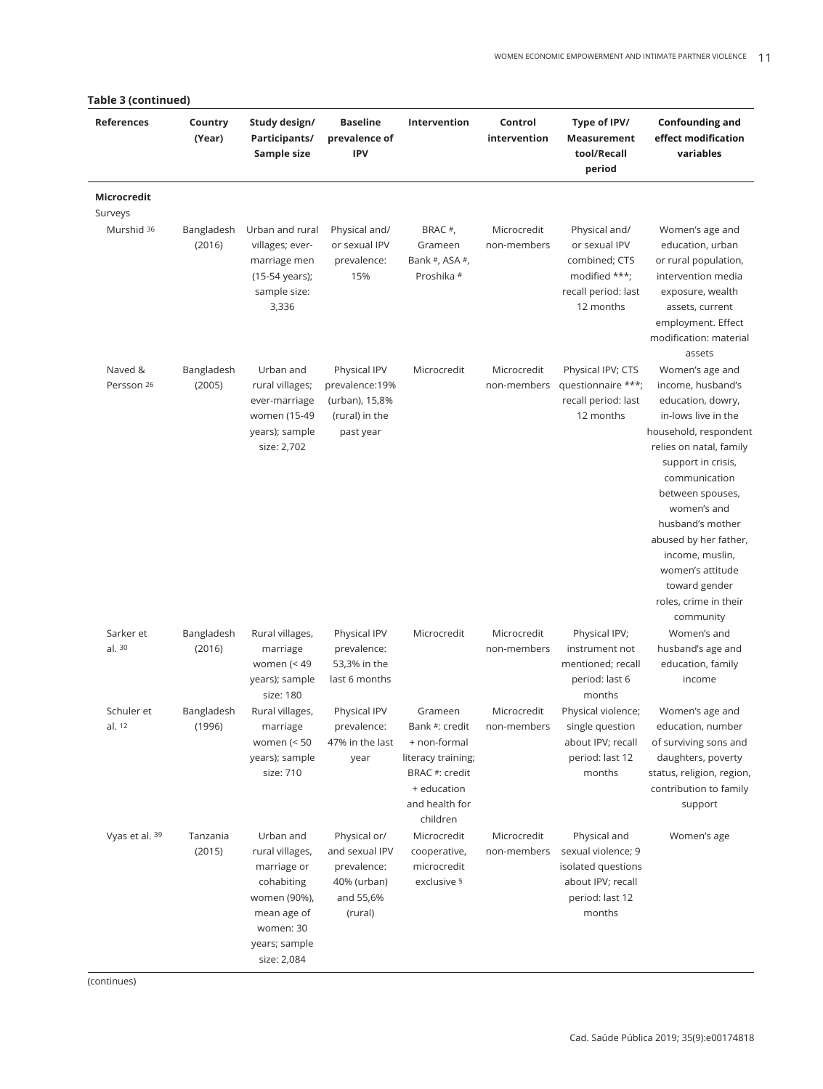| References                    | Country<br>(Year)    | Study design/<br>Participants/<br>Sample size                                                                                         | <b>Baseline</b><br>prevalence of<br><b>IPV</b>                                       | Intervention                                                                                                                               | Control<br>intervention    | Type of IPV/<br><b>Measurement</b><br>tool/Recall<br>period                                                | <b>Confounding and</b><br>effect modification<br>variables                                                                                                                                                                                                                                                                                                |
|-------------------------------|----------------------|---------------------------------------------------------------------------------------------------------------------------------------|--------------------------------------------------------------------------------------|--------------------------------------------------------------------------------------------------------------------------------------------|----------------------------|------------------------------------------------------------------------------------------------------------|-----------------------------------------------------------------------------------------------------------------------------------------------------------------------------------------------------------------------------------------------------------------------------------------------------------------------------------------------------------|
| <b>Microcredit</b><br>Surveys |                      |                                                                                                                                       |                                                                                      |                                                                                                                                            |                            |                                                                                                            |                                                                                                                                                                                                                                                                                                                                                           |
| Murshid 36                    | Bangladesh<br>(2016) | Urban and rural<br>villages; ever-<br>marriage men<br>(15-54 years);<br>sample size:<br>3,336                                         | Physical and/<br>or sexual IPV<br>prevalence:<br>15%                                 | BRAC <sup>#</sup> ,<br>Grameen<br>Bank #, ASA #,<br>Proshika #                                                                             | Microcredit<br>non-members | Physical and/<br>or sexual IPV<br>combined; CTS<br>modified ***;<br>recall period: last<br>12 months       | Women's age and<br>education, urban<br>or rural population,<br>intervention media<br>exposure, wealth<br>assets, current<br>employment. Effect<br>modification: material<br>assets                                                                                                                                                                        |
| Naved &<br>Persson 26         | Bangladesh<br>(2005) | Urban and<br>rural villages;<br>ever-marriage<br>women (15-49<br>years); sample<br>size: 2,702                                        | Physical IPV<br>prevalence:19%<br>(urban), 15,8%<br>(rural) in the<br>past year      | Microcredit                                                                                                                                | Microcredit<br>non-members | Physical IPV; CTS<br>questionnaire ***;<br>recall period: last<br>12 months                                | Women's age and<br>income, husband's<br>education, dowry,<br>in-lows live in the<br>household, respondent<br>relies on natal, family<br>support in crisis,<br>communication<br>between spouses,<br>women's and<br>husband's mother<br>abused by her father,<br>income, muslin,<br>women's attitude<br>toward gender<br>roles, crime in their<br>community |
| Sarker et<br>al. 30           | Bangladesh<br>(2016) | Rural villages,<br>marriage<br>women $(< 49$<br>years); sample<br>size: 180                                                           | Physical IPV<br>prevalence:<br>53,3% in the<br>last 6 months                         | Microcredit                                                                                                                                | Microcredit<br>non-members | Physical IPV;<br>instrument not<br>mentioned; recall<br>period: last 6<br>months                           | Women's and<br>husband's age and<br>education, family<br>income                                                                                                                                                                                                                                                                                           |
| Schuler et<br>al. 12          | Bangladesh<br>(1996) | Rural villages,<br>marriage<br>women $(50years); samplesize: 710$                                                                     | Physical IPV<br>prevalence:<br>47% in the last<br>year                               | Grameen<br>Bank #: credit<br>+ non-formal<br>literacy training;<br>BRAC <sup>#</sup> : credit<br>+ education<br>and health for<br>children | Microcredit<br>non-members | Physical violence;<br>single question<br>about IPV; recall<br>period: last 12<br>months                    | Women's age and<br>education, number<br>of surviving sons and<br>daughters, poverty<br>status, religion, region,<br>contribution to family<br>support                                                                                                                                                                                                     |
| Vyas et al. 39                | Tanzania<br>(2015)   | Urban and<br>rural villages,<br>marriage or<br>cohabiting<br>women (90%),<br>mean age of<br>women: 30<br>years; sample<br>size: 2,084 | Physical or/<br>and sexual IPV<br>prevalence:<br>40% (urban)<br>and 55,6%<br>(rural) | Microcredit<br>cooperative,<br>microcredit<br>exclusive §                                                                                  | Microcredit<br>non-members | Physical and<br>sexual violence; 9<br>isolated questions<br>about IPV; recall<br>period: last 12<br>months | Women's age                                                                                                                                                                                                                                                                                                                                               |

**Table 3 (continued)**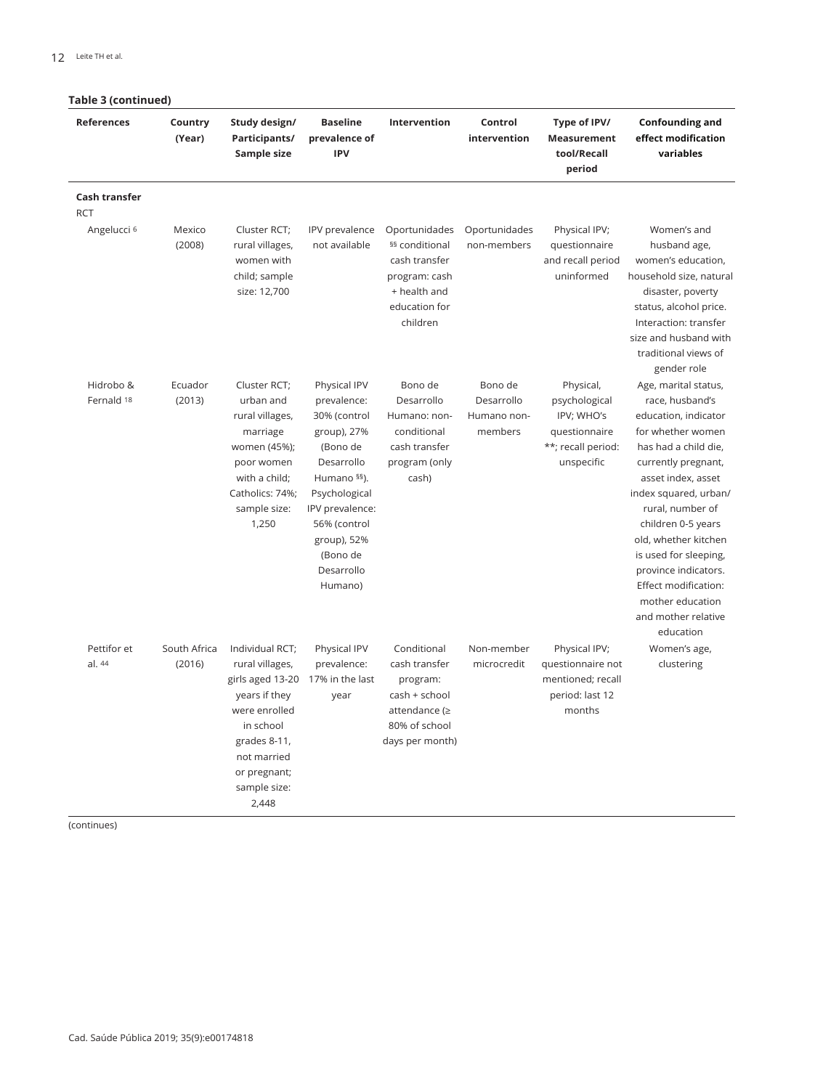| <b>References</b>       | Country<br>(Year)      | Study design/<br>Participants/<br>Sample size                                                                                                                                 | <b>Baseline</b><br>prevalence of<br><b>IPV</b>                                                                                                                                                                          | Intervention                                                                                                   | Control<br>intervention                         | Type of IPV/<br>Measurement<br>tool/Recall<br>period                                          | <b>Confounding and</b><br>effect modification<br>variables                                                                                                                                                                                                                                                                                                                            |
|-------------------------|------------------------|-------------------------------------------------------------------------------------------------------------------------------------------------------------------------------|-------------------------------------------------------------------------------------------------------------------------------------------------------------------------------------------------------------------------|----------------------------------------------------------------------------------------------------------------|-------------------------------------------------|-----------------------------------------------------------------------------------------------|---------------------------------------------------------------------------------------------------------------------------------------------------------------------------------------------------------------------------------------------------------------------------------------------------------------------------------------------------------------------------------------|
| <b>Cash transfer</b>    |                        |                                                                                                                                                                               |                                                                                                                                                                                                                         |                                                                                                                |                                                 |                                                                                               |                                                                                                                                                                                                                                                                                                                                                                                       |
| <b>RCT</b>              |                        |                                                                                                                                                                               |                                                                                                                                                                                                                         |                                                                                                                |                                                 |                                                                                               |                                                                                                                                                                                                                                                                                                                                                                                       |
| Angelucci 6             | Mexico<br>(2008)       | Cluster RCT;<br>rural villages,<br>women with<br>child; sample<br>size: 12,700                                                                                                | IPV prevalence<br>not available                                                                                                                                                                                         | Oportunidades<br>§§ conditional<br>cash transfer<br>program: cash<br>+ health and<br>education for<br>children | Oportunidades<br>non-members                    | Physical IPV;<br>questionnaire<br>and recall period<br>uninformed                             | Women's and<br>husband age,<br>women's education,<br>household size, natural<br>disaster, poverty<br>status, alcohol price.<br>Interaction: transfer<br>size and husband with<br>traditional views of<br>gender role                                                                                                                                                                  |
| Hidrobo &<br>Fernald 18 | Ecuador<br>(2013)      | Cluster RCT;<br>urban and<br>rural villages,<br>marriage<br>women (45%);<br>poor women<br>with a child;<br>Catholics: 74%;<br>sample size:<br>1,250                           | Physical IPV<br>prevalence:<br>30% (control<br>group), 27%<br>(Bono de<br>Desarrollo<br>Humano <sup>§§</sup> ).<br>Psychological<br>IPV prevalence:<br>56% (control<br>group), 52%<br>(Bono de<br>Desarrollo<br>Humano) | Bono de<br>Desarrollo<br>Humano: non-<br>conditional<br>cash transfer<br>program (only<br>cash)                | Bono de<br>Desarrollo<br>Humano non-<br>members | Physical,<br>psychological<br>IPV; WHO's<br>questionnaire<br>**; recall period:<br>unspecific | Age, marital status,<br>race, husband's<br>education, indicator<br>for whether women<br>has had a child die,<br>currently pregnant,<br>asset index, asset<br>index squared, urban/<br>rural, number of<br>children 0-5 years<br>old, whether kitchen<br>is used for sleeping,<br>province indicators.<br>Effect modification:<br>mother education<br>and mother relative<br>education |
| Pettifor et<br>al. 44   | South Africa<br>(2016) | Individual RCT;<br>rural villages,<br>girls aged 13-20<br>years if they<br>were enrolled<br>in school<br>grades 8-11,<br>not married<br>or pregnant;<br>sample size:<br>2,448 | Physical IPV<br>prevalence:<br>17% in the last<br>year                                                                                                                                                                  | Conditional<br>cash transfer<br>program:<br>cash + school<br>attendance (≥<br>80% of school<br>days per month) | Non-member<br>microcredit                       | Physical IPV;<br>questionnaire not<br>mentioned; recall<br>period: last 12<br>months          | Women's age,<br>clustering                                                                                                                                                                                                                                                                                                                                                            |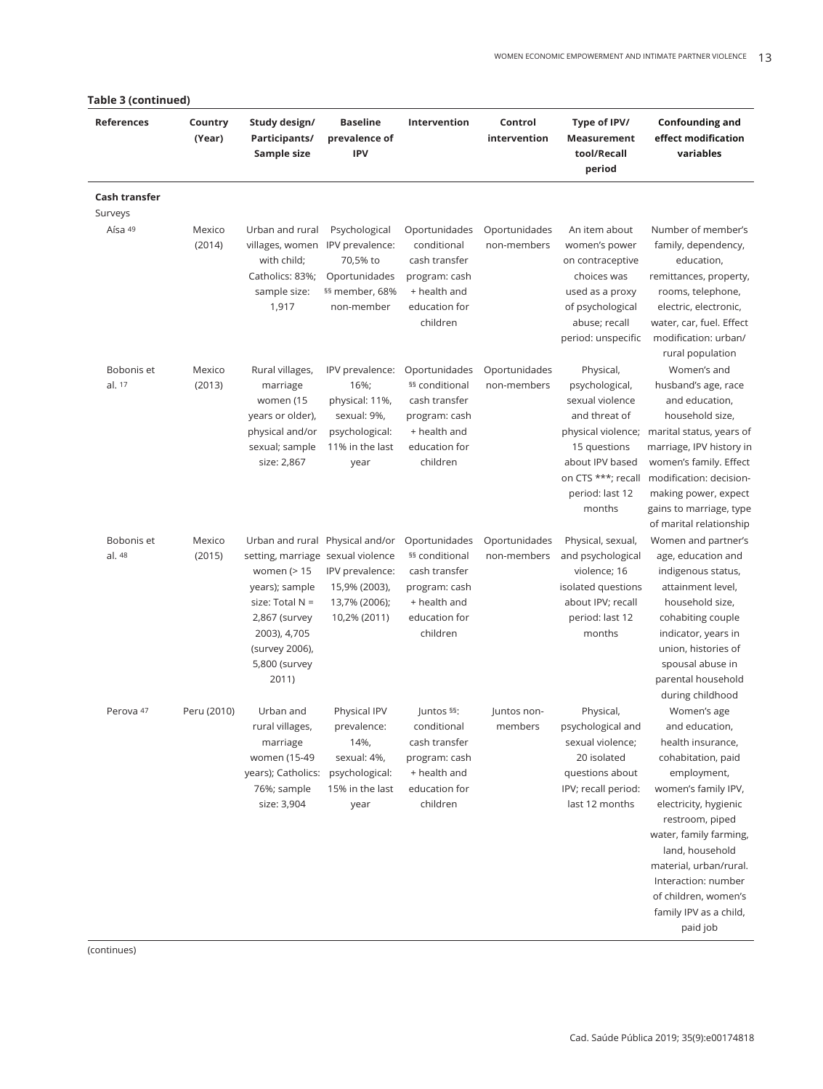| <b>References</b>    | Country<br>(Year) | Study design/<br>Participants/<br>Sample size                                                                                                                                             | <b>Baseline</b><br>prevalence of<br><b>IPV</b>                                                           | Intervention                                                                                                   | Control<br>intervention      | Type of IPV/<br><b>Measurement</b><br>tool/Recall<br>period                                                                                                                 | <b>Confounding and</b><br>effect modification<br>variables                                                                                                                                                                                                                                                             |
|----------------------|-------------------|-------------------------------------------------------------------------------------------------------------------------------------------------------------------------------------------|----------------------------------------------------------------------------------------------------------|----------------------------------------------------------------------------------------------------------------|------------------------------|-----------------------------------------------------------------------------------------------------------------------------------------------------------------------------|------------------------------------------------------------------------------------------------------------------------------------------------------------------------------------------------------------------------------------------------------------------------------------------------------------------------|
| <b>Cash transfer</b> |                   |                                                                                                                                                                                           |                                                                                                          |                                                                                                                |                              |                                                                                                                                                                             |                                                                                                                                                                                                                                                                                                                        |
| Surveys              |                   |                                                                                                                                                                                           |                                                                                                          |                                                                                                                |                              |                                                                                                                                                                             |                                                                                                                                                                                                                                                                                                                        |
| Aísa 49              | Mexico<br>(2014)  | Urban and rural<br>villages, women<br>with child;<br>Catholics: 83%;<br>sample size:<br>1,917                                                                                             | Psychological<br>IPV prevalence:<br>70,5% to<br>Oportunidades<br><sup>§§</sup> member, 68%<br>non-member | Oportunidades<br>conditional<br>cash transfer<br>program: cash<br>+ health and<br>education for<br>children    | Oportunidades<br>non-members | An item about<br>women's power<br>on contraceptive<br>choices was<br>used as a proxy<br>of psychological<br>abuse; recall<br>period: unspecific                             | Number of member's<br>family, dependency,<br>education,<br>remittances, property,<br>rooms, telephone,<br>electric, electronic,<br>water, car, fuel. Effect<br>modification: urban/<br>rural population                                                                                                                |
| Bobonis et<br>al. 17 | Mexico<br>(2013)  | Rural villages,<br>marriage<br>women (15<br>years or older),<br>physical and/or<br>sexual; sample<br>size: 2,867                                                                          | IPV prevalence:<br>16%;<br>physical: 11%,<br>sexual: 9%,<br>psychological:<br>11% in the last<br>year    | Oportunidades<br>§§ conditional<br>cash transfer<br>program: cash<br>+ health and<br>education for<br>children | Oportunidades<br>non-members | Physical,<br>psychological,<br>sexual violence<br>and threat of<br>physical violence;<br>15 questions<br>about IPV based<br>on CTS ***; recall<br>period: last 12<br>months | Women's and<br>husband's age, race<br>and education,<br>household size,<br>marital status, years of<br>marriage, IPV history in<br>women's family. Effect<br>modification: decision-<br>making power, expect<br>gains to marriage, type<br>of marital relationship                                                     |
| Bobonis et<br>al. 48 | Mexico<br>(2015)  | Urban and rural<br>setting, marriage sexual violence<br>women $(> 15$<br>years); sample<br>size: Total $N =$<br>2,867 (survey<br>2003), 4,705<br>(survey 2006),<br>5,800 (survey<br>2011) | Physical and/or<br>IPV prevalence:<br>15,9% (2003),<br>13,7% (2006);<br>10,2% (2011)                     | Oportunidades<br>§§ conditional<br>cash transfer<br>program: cash<br>+ health and<br>education for<br>children | Oportunidades<br>non-members | Physical, sexual,<br>and psychological<br>violence; 16<br>isolated questions<br>about IPV; recall<br>period: last 12<br>months                                              | Women and partner's<br>age, education and<br>indigenous status,<br>attainment level,<br>household size,<br>cohabiting couple<br>indicator, years in<br>union, histories of<br>spousal abuse in<br>parental household<br>during childhood                                                                               |
| Perova 47            | Peru (2010)       | Urban and<br>rural villages,<br>marriage<br>women (15-49<br>years); Catholics:<br>76%; sample<br>size: 3,904                                                                              | Physical IPV<br>prevalence:<br>14%,<br>sexual: 4%,<br>psychological:<br>15% in the last<br>year          | Juntos §§:<br>conditional<br>cash transfer<br>program: cash<br>+ health and<br>education for<br>children       | Juntos non-<br>members       | Physical,<br>psychological and<br>sexual violence;<br>20 isolated<br>questions about<br>IPV; recall period:<br>last 12 months                                               | Women's age<br>and education,<br>health insurance,<br>cohabitation, paid<br>employment,<br>women's family IPV,<br>electricity, hygienic<br>restroom, piped<br>water, family farming,<br>land, household<br>material, urban/rural.<br>Interaction: number<br>of children, women's<br>family IPV as a child,<br>paid job |

# **Table 3 (continued)**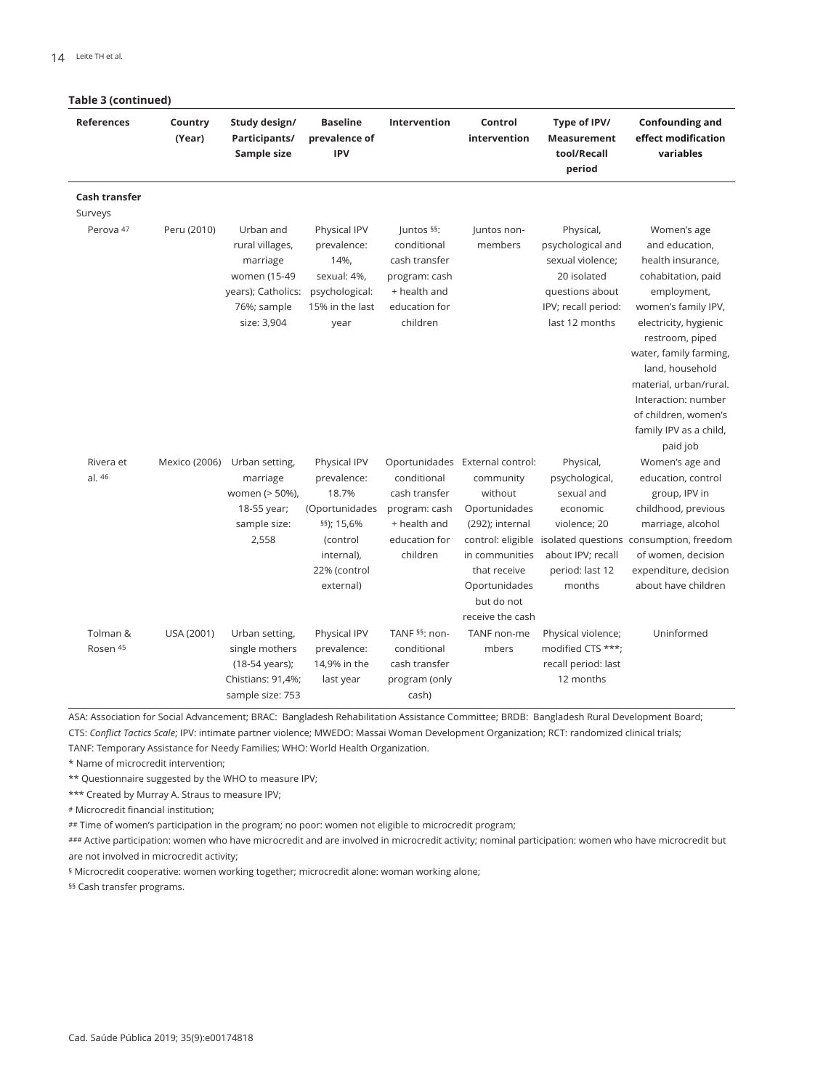| <b>References</b>               | Country<br>(Year) | Study design/<br>Participants/<br>Sample size                                                                | <b>Baseline</b><br>prevalence of<br><b>IPV</b>                                                                              | Intervention                                                                                             | Control<br>intervention                                                                                                                                                                               | Type of IPV/<br>Measurement<br>tool/Recall<br>period                                                                          | <b>Confounding and</b><br>effect modification<br>variables                                                                                                                                                                                                                                                             |
|---------------------------------|-------------------|--------------------------------------------------------------------------------------------------------------|-----------------------------------------------------------------------------------------------------------------------------|----------------------------------------------------------------------------------------------------------|-------------------------------------------------------------------------------------------------------------------------------------------------------------------------------------------------------|-------------------------------------------------------------------------------------------------------------------------------|------------------------------------------------------------------------------------------------------------------------------------------------------------------------------------------------------------------------------------------------------------------------------------------------------------------------|
| <b>Cash transfer</b><br>Surveys |                   |                                                                                                              |                                                                                                                             |                                                                                                          |                                                                                                                                                                                                       |                                                                                                                               |                                                                                                                                                                                                                                                                                                                        |
| Perova 47                       | Peru (2010)       | Urban and<br>rural villages,<br>marriage<br>women (15-49<br>years); Catholics:<br>76%; sample<br>size: 3,904 | Physical IPV<br>prevalence:<br>14%,<br>sexual: 4%,<br>psychological:<br>15% in the last<br>year                             | luntos §§:<br>conditional<br>cash transfer<br>program: cash<br>+ health and<br>education for<br>children | Juntos non-<br>members                                                                                                                                                                                | Physical,<br>psychological and<br>sexual violence;<br>20 isolated<br>questions about<br>IPV; recall period:<br>last 12 months | Women's age<br>and education,<br>health insurance,<br>cohabitation, paid<br>employment,<br>women's family IPV,<br>electricity, hygienic<br>restroom, piped<br>water, family farming,<br>land, household<br>material, urban/rural.<br>Interaction: number<br>of children, women's<br>family IPV as a child,<br>paid job |
| Rivera et<br>al. 46             | Mexico (2006)     | Urban setting,<br>marriage<br>women (> 50%),<br>18-55 year;<br>sample size:<br>2,558                         | Physical IPV<br>prevalence:<br>18.7%<br>(Oportunidades<br>§§); 15,6%<br>(control<br>internal),<br>22% (control<br>external) | conditional<br>cash transfer<br>program: cash<br>+ health and<br>education for<br>children               | Oportunidades External control:<br>community<br>without<br>Oportunidades<br>(292); internal<br>control: eligible<br>in communities<br>that receive<br>Oportunidades<br>but do not<br>receive the cash | Physical,<br>psychological,<br>sexual and<br>economic<br>violence; 20<br>about IPV; recall<br>period: last 12<br>months       | Women's age and<br>education, control<br>group, IPV in<br>childhood, previous<br>marriage, alcohol<br>isolated questions consumption, freedom<br>of women, decision<br>expenditure, decision<br>about have children                                                                                                    |
| Tolman &<br>Rosen 45            | USA (2001)        | Urban setting,<br>single mothers<br>(18-54 years);<br>Chistians: 91,4%;<br>sample size: 753                  | Physical IPV<br>prevalence:<br>14,9% in the<br>last year                                                                    | TANF §§: non-<br>conditional<br>cash transfer<br>program (only<br>cash)                                  | TANF non-me<br>mbers                                                                                                                                                                                  | Physical violence;<br>modified CTS ***;<br>recall period: last<br>12 months                                                   | Uninformed                                                                                                                                                                                                                                                                                                             |

ASA: Association for Social Advancement; BRAC: Bangladesh Rehabilitation Assistance Committee; BRDB: Bangladesh Rural Development Board; CTS: *Conflict Tactics Scale*; IPV: intimate partner violence; MWEDO: Massai Woman Development Organization; RCT: randomized clinical trials;

TANF: Temporary Assistance for Needy Families; WHO: World Health Organization.

\* Name of microcredit intervention;

\*\* Questionnaire suggested by the WHO to measure IPV;

\*\*\* Created by Murray A. Straus to measure IPV;

# Microcredit financial institution;

## Time of women's participation in the program; no poor: women not eligible to microcredit program;

### Active participation: women who have microcredit and are involved in microcredit activity; nominal participation: women who have microcredit but are not involved in microcredit activity;

§ Microcredit cooperative: women working together; microcredit alone: woman working alone;

§§ Cash transfer programs.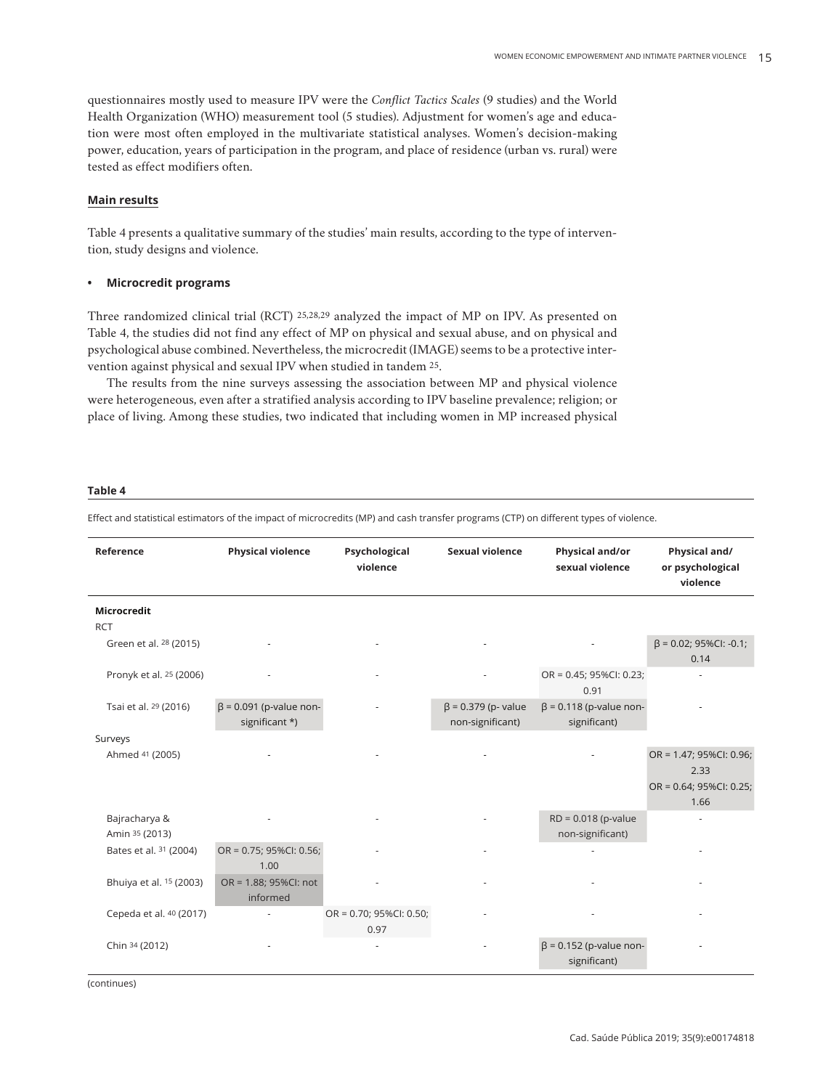questionnaires mostly used to measure IPV were the *Conflict Tactics Scales* (9 studies) and the World Health Organization (WHO) measurement tool (5 studies). Adjustment for women's age and education were most often employed in the multivariate statistical analyses. Women's decision-making power, education, years of participation in the program, and place of residence (urban vs. rural) were tested as effect modifiers often.

# **Main results**

Table 4 presents a qualitative summary of the studies' main results, according to the type of intervention, study designs and violence.

# **• Microcredit programs**

Three randomized clinical trial (RCT) 25,28,29 analyzed the impact of MP on IPV. As presented on Table 4, the studies did not find any effect of MP on physical and sexual abuse, and on physical and psychological abuse combined. Nevertheless, the microcredit (IMAGE) seems to be a protective intervention against physical and sexual IPV when studied in tandem 25.

The results from the nine surveys assessing the association between MP and physical violence were heterogeneous, even after a stratified analysis according to IPV baseline prevalence; religion; or place of living. Among these studies, two indicated that including women in MP increased physical

#### **Table 4**

Effect and statistical estimators of the impact of microcredits (MP) and cash transfer programs (CTP) on different types of violence.

| Reference                        | <b>Physical violence</b>                        | Psychological<br>violence       | <b>Sexual violence</b>                        | Physical and/or<br>sexual violence            | Physical and/<br>or psychological<br>violence                      |
|----------------------------------|-------------------------------------------------|---------------------------------|-----------------------------------------------|-----------------------------------------------|--------------------------------------------------------------------|
| <b>Microcredit</b><br><b>RCT</b> |                                                 |                                 |                                               |                                               |                                                                    |
| Green et al. 28 (2015)           |                                                 |                                 |                                               |                                               | $\beta$ = 0.02; 95%CI: -0.1;<br>0.14                               |
| Pronyk et al. 25 (2006)          |                                                 |                                 |                                               | OR = 0.45; 95%CI: 0.23;<br>0.91               |                                                                    |
| Tsai et al. <sup>29</sup> (2016) | $\beta$ = 0.091 (p-value non-<br>significant *) |                                 | $\beta$ = 0.379 (p- value<br>non-significant) | $\beta$ = 0.118 (p-value non-<br>significant) |                                                                    |
| Surveys                          |                                                 |                                 |                                               |                                               |                                                                    |
| Ahmed 41 (2005)                  |                                                 |                                 |                                               |                                               | OR = 1.47; 95%CI: 0.96;<br>2.33<br>OR = 0.64; 95%CI: 0.25;<br>1.66 |
| Bajracharya &<br>Amin 35 (2013)  |                                                 |                                 |                                               | $RD = 0.018$ (p-value<br>non-significant)     |                                                                    |
| Bates et al. 31 (2004)           | OR = 0.75; 95%CI: 0.56;<br>1.00                 |                                 |                                               |                                               |                                                                    |
| Bhuiya et al. 15 (2003)          | OR = 1.88; 95%CI: not<br>informed               |                                 |                                               |                                               |                                                                    |
| Cepeda et al. 40 (2017)          |                                                 | OR = 0.70; 95%CI: 0.50;<br>0.97 |                                               |                                               |                                                                    |
| Chin 34 (2012)                   |                                                 | ٠                               |                                               | $\beta$ = 0.152 (p-value non-<br>significant) |                                                                    |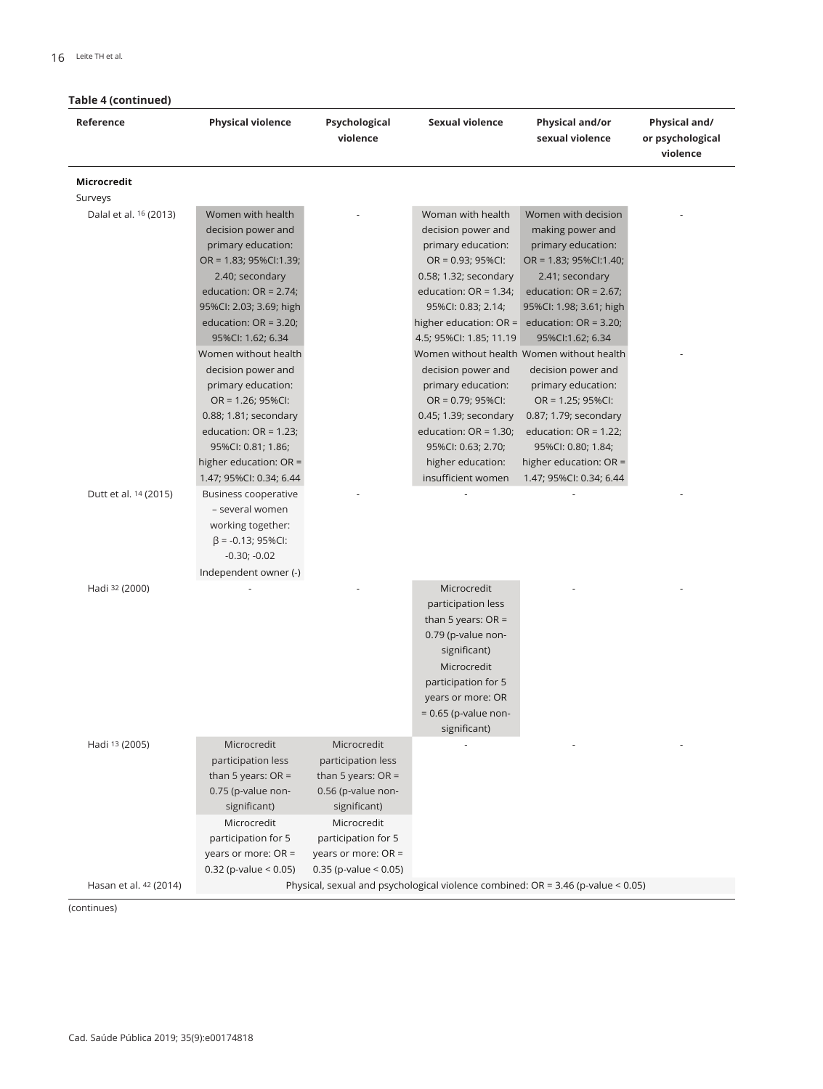| Reference              | <b>Physical violence</b>                     | Psychological<br>violence | <b>Sexual violence</b>                                                           | Physical and/or<br>sexual violence        | Physical and/<br>or psychological<br>violence |
|------------------------|----------------------------------------------|---------------------------|----------------------------------------------------------------------------------|-------------------------------------------|-----------------------------------------------|
| <b>Microcredit</b>     |                                              |                           |                                                                                  |                                           |                                               |
| Surveys                |                                              |                           |                                                                                  |                                           |                                               |
| Dalal et al. 16 (2013) | Women with health                            |                           | Woman with health                                                                | Women with decision                       |                                               |
|                        | decision power and                           |                           | decision power and                                                               | making power and                          |                                               |
|                        | primary education:                           |                           | primary education:                                                               | primary education:                        |                                               |
|                        | OR = 1.83; 95%Cl:1.39;                       |                           | $OR = 0.93; 95\% CI:$                                                            | OR = 1.83; 95%Cl:1.40;                    |                                               |
|                        | 2.40; secondary                              |                           | 0.58; 1.32; secondary                                                            | 2.41; secondary                           |                                               |
|                        | education: $OR = 2.74$ ;                     |                           | education: $OR = 1.34$ ;                                                         | education: $OR = 2.67$ ;                  |                                               |
|                        | 95%CI: 2.03; 3.69; high                      |                           | 95%CI: 0.83; 2.14;                                                               | 95%Cl: 1.98; 3.61; high                   |                                               |
|                        | education: $OR = 3.20$ ;                     |                           | higher education: $OR =$                                                         | education: $OR = 3.20$ ;                  |                                               |
|                        | 95%CI: 1.62; 6.34                            |                           | 4.5; 95%Cl: 1.85; 11.19                                                          | 95%Cl:1.62; 6.34                          |                                               |
|                        | Women without health                         |                           |                                                                                  | Women without health Women without health |                                               |
|                        | decision power and                           |                           | decision power and                                                               | decision power and                        |                                               |
|                        | primary education:                           |                           | primary education:                                                               | primary education:                        |                                               |
|                        | $OR = 1.26$ ; 95%CI:                         |                           | OR = 0.79; 95%CI:                                                                | $OR = 1.25$ ; 95%CI:                      |                                               |
|                        | 0.88; 1.81; secondary                        |                           | 0.45; 1.39; secondary                                                            | 0.87; 1.79; secondary                     |                                               |
|                        | education: $OR = 1.23$ ;                     |                           | education: $OR = 1.30$ ;                                                         | education: $OR = 1.22$ ;                  |                                               |
|                        | 95%CI: 0.81; 1.86;                           |                           | 95%CI: 0.63; 2.70;                                                               | 95%CI: 0.80; 1.84;                        |                                               |
|                        | higher education: $OR =$                     |                           | higher education:<br>insufficient women                                          | higher education: $OR =$                  |                                               |
|                        | 1.47; 95%CI: 0.34; 6.44                      |                           |                                                                                  | 1.47; 95%CI: 0.34; 6.44                   |                                               |
| Dutt et al. 14 (2015)  | <b>Business cooperative</b>                  |                           |                                                                                  |                                           |                                               |
|                        | - several women                              |                           |                                                                                  |                                           |                                               |
|                        | working together:<br>$\beta$ = -0.13; 95%CI: |                           |                                                                                  |                                           |                                               |
|                        | $-0.30; -0.02$                               |                           |                                                                                  |                                           |                                               |
|                        |                                              |                           |                                                                                  |                                           |                                               |
|                        | Independent owner (-)                        |                           | Microcredit                                                                      |                                           |                                               |
| Hadi 32 (2000)         |                                              |                           | participation less                                                               |                                           |                                               |
|                        |                                              |                           | than 5 years: $OR =$                                                             |                                           |                                               |
|                        |                                              |                           | 0.79 (p-value non-                                                               |                                           |                                               |
|                        |                                              |                           | significant)                                                                     |                                           |                                               |
|                        |                                              |                           | Microcredit                                                                      |                                           |                                               |
|                        |                                              |                           | participation for 5                                                              |                                           |                                               |
|                        |                                              |                           | years or more: OR                                                                |                                           |                                               |
|                        |                                              |                           | $= 0.65$ (p-value non-                                                           |                                           |                                               |
|                        |                                              |                           | significant)                                                                     |                                           |                                               |
| Hadi 13 (2005)         | Microcredit                                  | Microcredit               |                                                                                  |                                           |                                               |
|                        | participation less                           | participation less        |                                                                                  |                                           |                                               |
|                        | than 5 years: $OR =$                         | than 5 years: $OR =$      |                                                                                  |                                           |                                               |
|                        | 0.75 (p-value non-                           | 0.56 (p-value non-        |                                                                                  |                                           |                                               |
|                        | significant)                                 | significant)              |                                                                                  |                                           |                                               |
|                        | Microcredit                                  | Microcredit               |                                                                                  |                                           |                                               |
|                        | participation for 5                          | participation for 5       |                                                                                  |                                           |                                               |
|                        | years or more: $OR =$                        | years or more: $OR =$     |                                                                                  |                                           |                                               |
|                        | $0.32$ (p-value < 0.05)                      | $0.35$ (p-value < 0.05)   |                                                                                  |                                           |                                               |
| Hasan et al. 42 (2014) |                                              |                           | Physical, sexual and psychological violence combined: OR = 3.46 (p-value < 0.05) |                                           |                                               |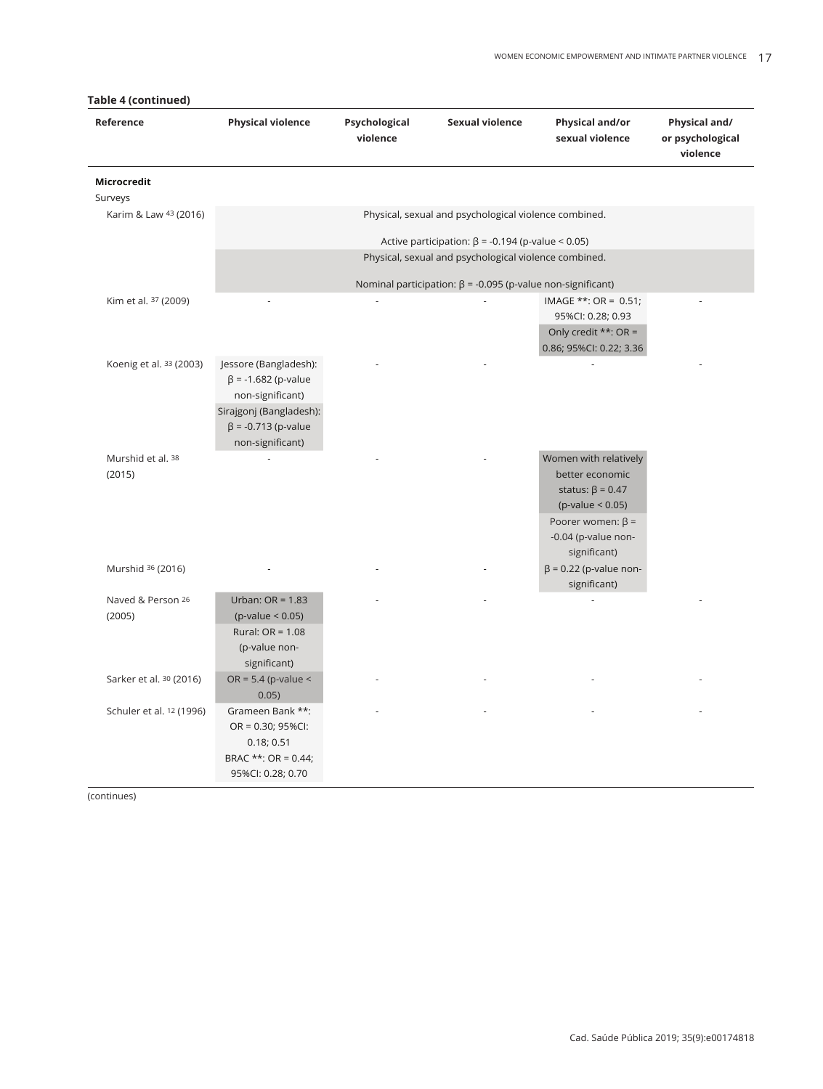| Reference                                   | <b>Physical violence</b>                                          | Psychological<br>violence | <b>Sexual violence</b> | Physical and/or<br>sexual violence           | Physical and/<br>or psychological<br>violence |  |  |  |
|---------------------------------------------|-------------------------------------------------------------------|---------------------------|------------------------|----------------------------------------------|-----------------------------------------------|--|--|--|
| <b>Microcredit</b>                          |                                                                   |                           |                        |                                              |                                               |  |  |  |
| Surveys<br>Karim & Law <sup>43</sup> (2016) |                                                                   |                           |                        |                                              |                                               |  |  |  |
|                                             | Physical, sexual and psychological violence combined.             |                           |                        |                                              |                                               |  |  |  |
|                                             | Active participation: $\beta$ = -0.194 (p-value < 0.05)           |                           |                        |                                              |                                               |  |  |  |
|                                             | Physical, sexual and psychological violence combined.             |                           |                        |                                              |                                               |  |  |  |
|                                             | Nominal participation: $\beta$ = -0.095 (p-value non-significant) |                           |                        |                                              |                                               |  |  |  |
| Kim et al. 37 (2009)                        |                                                                   |                           |                        | IMAGE **: OR = $0.51$ ;                      |                                               |  |  |  |
|                                             |                                                                   |                           |                        | 95%CI: 0.28; 0.93                            |                                               |  |  |  |
|                                             |                                                                   |                           |                        | Only credit **: OR =                         |                                               |  |  |  |
|                                             |                                                                   |                           |                        | 0.86; 95%Cl: 0.22; 3.36                      |                                               |  |  |  |
| Koenig et al. 33 (2003)                     | Jessore (Bangladesh):                                             |                           |                        |                                              |                                               |  |  |  |
|                                             | $β = -1.682 (p-value)$                                            |                           |                        |                                              |                                               |  |  |  |
|                                             | non-significant)<br>Sirajgonj (Bangladesh):                       |                           |                        |                                              |                                               |  |  |  |
|                                             | $β = -0.713 (p-value)$                                            |                           |                        |                                              |                                               |  |  |  |
|                                             | non-significant)                                                  |                           |                        |                                              |                                               |  |  |  |
| Murshid et al. 38                           |                                                                   |                           |                        | Women with relatively                        |                                               |  |  |  |
| (2015)                                      |                                                                   |                           |                        | better economic                              |                                               |  |  |  |
|                                             |                                                                   |                           |                        | status: $\beta$ = 0.47                       |                                               |  |  |  |
|                                             |                                                                   |                           |                        | $(p-value < 0.05)$                           |                                               |  |  |  |
|                                             |                                                                   |                           |                        | Poorer women: $\beta$ =                      |                                               |  |  |  |
|                                             |                                                                   |                           |                        | -0.04 (p-value non-                          |                                               |  |  |  |
| Murshid 36 (2016)                           |                                                                   |                           |                        | significant)<br>$\beta$ = 0.22 (p-value non- |                                               |  |  |  |
|                                             |                                                                   |                           |                        | significant)                                 |                                               |  |  |  |
| Naved & Person 26                           | Urban: $OR = 1.83$                                                |                           |                        |                                              |                                               |  |  |  |
| (2005)                                      | $(p-value < 0.05)$                                                |                           |                        |                                              |                                               |  |  |  |
|                                             | Rural: $OR = 1.08$                                                |                           |                        |                                              |                                               |  |  |  |
|                                             | (p-value non-                                                     |                           |                        |                                              |                                               |  |  |  |
|                                             | significant)                                                      |                           |                        |                                              |                                               |  |  |  |
| Sarker et al. 30 (2016)                     | OR = $5.4$ (p-value <<br>0.05                                     |                           |                        |                                              |                                               |  |  |  |
| Schuler et al. 12 (1996)                    | Grameen Bank **:                                                  |                           |                        |                                              |                                               |  |  |  |
|                                             | OR = 0.30; 95%CI:                                                 |                           |                        |                                              |                                               |  |  |  |
|                                             | 0.18; 0.51                                                        |                           |                        |                                              |                                               |  |  |  |
|                                             | BRAC **: OR = $0.44$ ;                                            |                           |                        |                                              |                                               |  |  |  |
|                                             | 95%CI: 0.28; 0.70                                                 |                           |                        |                                              |                                               |  |  |  |

# **Table 4 (continued)**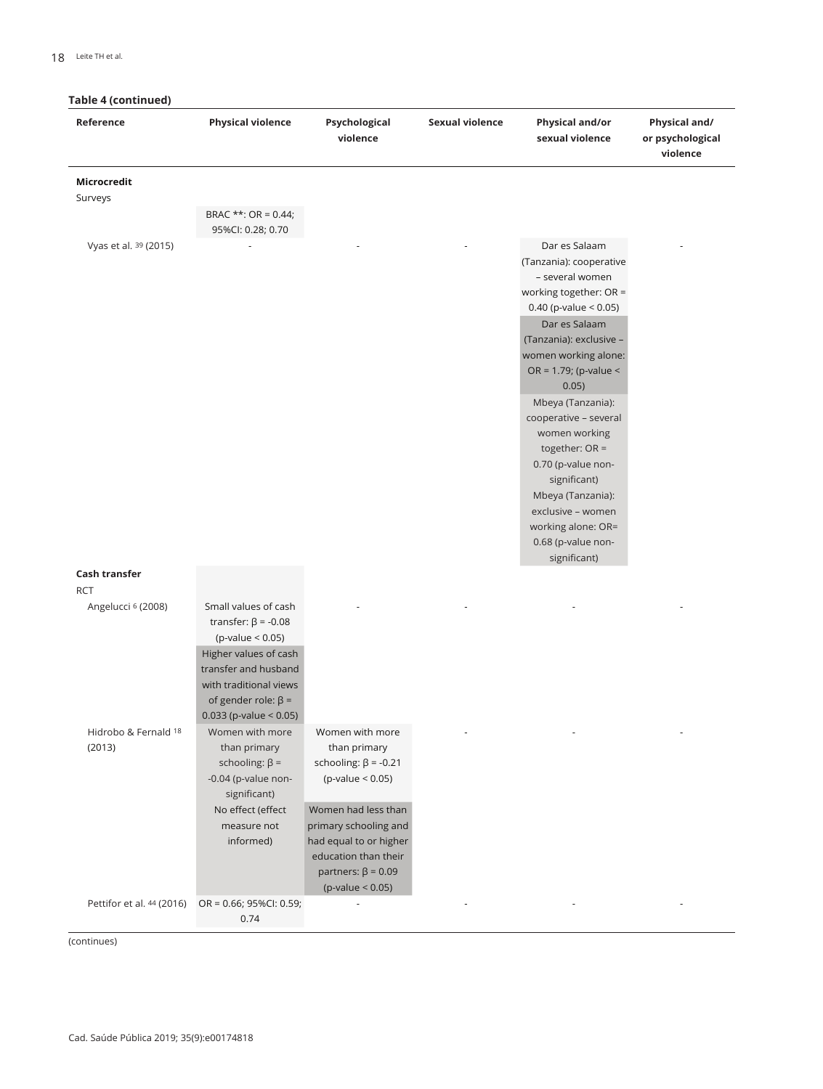| Table 4 (continued)                         |                                                                                                                                                                                                              |                                                                                                            |                        |                                                                                                                                                                                                                                                                                                                                                                                                                                           |                                               |  |  |
|---------------------------------------------|--------------------------------------------------------------------------------------------------------------------------------------------------------------------------------------------------------------|------------------------------------------------------------------------------------------------------------|------------------------|-------------------------------------------------------------------------------------------------------------------------------------------------------------------------------------------------------------------------------------------------------------------------------------------------------------------------------------------------------------------------------------------------------------------------------------------|-----------------------------------------------|--|--|
| Reference                                   | <b>Physical violence</b>                                                                                                                                                                                     | Psychological<br>violence                                                                                  | <b>Sexual violence</b> | Physical and/or<br>sexual violence                                                                                                                                                                                                                                                                                                                                                                                                        | Physical and/<br>or psychological<br>violence |  |  |
| Microcredit                                 |                                                                                                                                                                                                              |                                                                                                            |                        |                                                                                                                                                                                                                                                                                                                                                                                                                                           |                                               |  |  |
| Surveys                                     |                                                                                                                                                                                                              |                                                                                                            |                        |                                                                                                                                                                                                                                                                                                                                                                                                                                           |                                               |  |  |
|                                             | BRAC **: OR = $0.44$ ;<br>95%Cl: 0.28; 0.70                                                                                                                                                                  |                                                                                                            |                        |                                                                                                                                                                                                                                                                                                                                                                                                                                           |                                               |  |  |
| Vyas et al. 39 (2015)                       |                                                                                                                                                                                                              |                                                                                                            |                        | Dar es Salaam<br>(Tanzania): cooperative<br>- several women<br>working together: OR =<br>0.40 (p-value $< 0.05$ )<br>Dar es Salaam<br>(Tanzania): exclusive -<br>women working alone:<br>OR = $1.79$ ; (p-value <<br>0.05)<br>Mbeya (Tanzania):<br>cooperative - several<br>women working<br>together: $OR =$<br>0.70 (p-value non-<br>significant)<br>Mbeya (Tanzania):<br>exclusive - women<br>working alone: OR=<br>0.68 (p-value non- |                                               |  |  |
| <b>Cash transfer</b>                        |                                                                                                                                                                                                              |                                                                                                            |                        | significant)                                                                                                                                                                                                                                                                                                                                                                                                                              |                                               |  |  |
| <b>RCT</b><br>Angelucci <sup>6</sup> (2008) | Small values of cash<br>transfer: $\beta$ = -0.08<br>(p-value $< 0.05$ )<br>Higher values of cash<br>transfer and husband<br>with traditional views<br>of gender role: $\beta$ =<br>$0.033$ (p-value < 0.05) |                                                                                                            |                        |                                                                                                                                                                                                                                                                                                                                                                                                                                           |                                               |  |  |
| Hidrobo & Fernald 18<br>(2013)              | Women with more<br>than primary<br>schooling: $\beta$ =<br>-0.04 (p-value non-<br>significant)<br>No effect (effect                                                                                          | Women with more<br>than primary<br>schooling: $\beta$ = -0.21<br>$(p-value < 0.05)$<br>Women had less than |                        |                                                                                                                                                                                                                                                                                                                                                                                                                                           |                                               |  |  |
|                                             | measure not                                                                                                                                                                                                  | primary schooling and                                                                                      |                        |                                                                                                                                                                                                                                                                                                                                                                                                                                           |                                               |  |  |
|                                             | informed)                                                                                                                                                                                                    | had equal to or higher                                                                                     |                        |                                                                                                                                                                                                                                                                                                                                                                                                                                           |                                               |  |  |

education than their partners: β = 0.09 (p-value < 0.05)

- - - -

(continues)

Pettifor et al. 44 (2016) OR = 0.66; 95%CI: 0.59;

0.74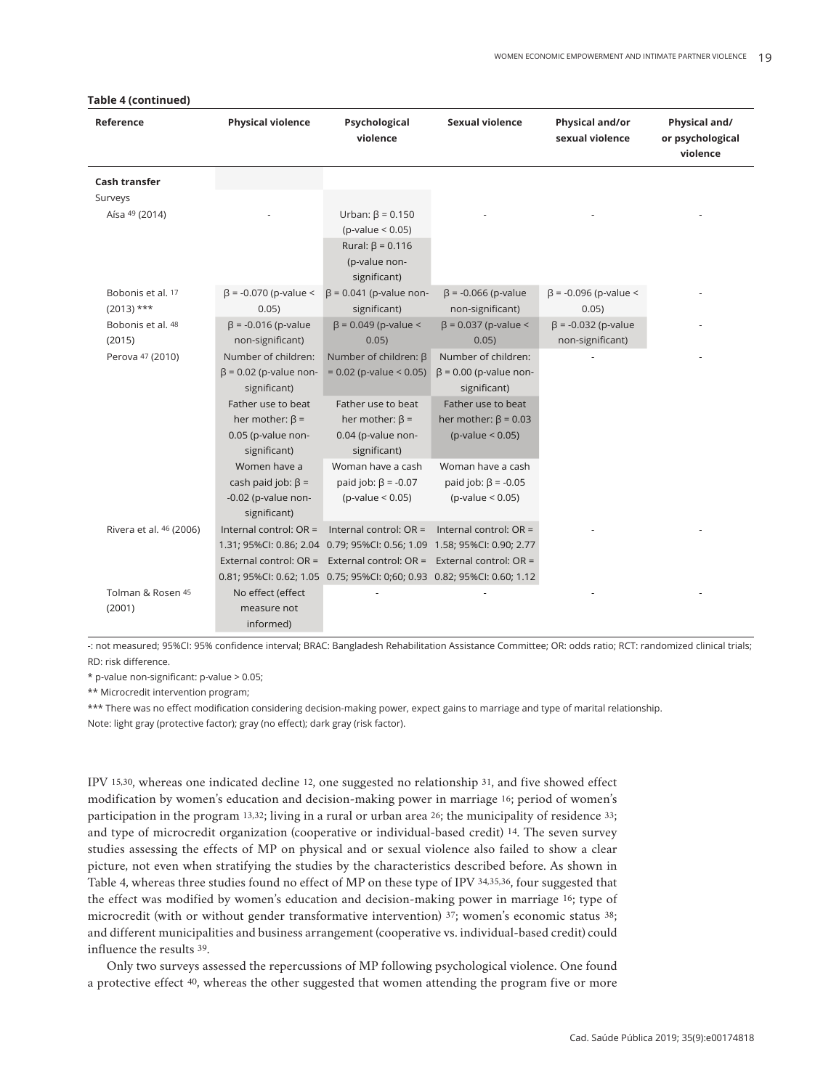| Reference                 | <b>Physical violence</b>     | Psychological<br>violence                                               | <b>Sexual violence</b>       | Physical and/or<br>sexual violence | Physical and/<br>or psychological<br>violence |
|---------------------------|------------------------------|-------------------------------------------------------------------------|------------------------------|------------------------------------|-----------------------------------------------|
| <b>Cash transfer</b>      |                              |                                                                         |                              |                                    |                                               |
| Surveys                   |                              |                                                                         |                              |                                    |                                               |
| Aísa <sup>49</sup> (2014) |                              | Urban: $\beta$ = 0.150                                                  |                              |                                    |                                               |
|                           |                              | (p-value $< 0.05$ )                                                     |                              |                                    |                                               |
|                           |                              | Rural: $\beta$ = 0.116                                                  |                              |                                    |                                               |
|                           |                              | (p-value non-                                                           |                              |                                    |                                               |
|                           |                              | significant)                                                            |                              |                                    |                                               |
| Bobonis et al. 17         | $β = -0.070$ (p-value <      | $\beta$ = 0.041 (p-value non-                                           | $\beta$ = -0.066 (p-value    | $β = -0.096 (p-value <$            |                                               |
| $(2013)$ ***              | 0.05)                        | significant)                                                            | non-significant)             | 0.05)                              |                                               |
| Bobonis et al. 48         | $\beta$ = -0.016 (p-value    | $\beta$ = 0.049 (p-value <                                              | $\beta$ = 0.037 (p-value <   | $\beta$ = -0.032 (p-value          |                                               |
| (2015)                    | non-significant)             | 0.05)                                                                   | 0.05)                        | non-significant)                   |                                               |
| Perova 47 (2010)          | Number of children:          | Number of children: β                                                   | Number of children:          |                                    |                                               |
|                           | $\beta$ = 0.02 (p-value non- | $= 0.02$ (p-value $< 0.05$ )                                            | $\beta$ = 0.00 (p-value non- |                                    |                                               |
|                           | significant)                 |                                                                         | significant)                 |                                    |                                               |
|                           | Father use to beat           | Father use to beat                                                      | Father use to beat           |                                    |                                               |
|                           | her mother: $\beta$ =        | her mother: $\beta$ =                                                   | her mother: $\beta$ = 0.03   |                                    |                                               |
|                           | 0.05 (p-value non-           | 0.04 (p-value non-                                                      | $(p-value < 0.05)$           |                                    |                                               |
|                           | significant)                 | significant)                                                            |                              |                                    |                                               |
|                           | Women have a                 | Woman have a cash                                                       | Woman have a cash            |                                    |                                               |
|                           | cash paid job: $\beta$ =     | paid job: $\beta$ = -0.07                                               | paid job: $\beta$ = -0.05    |                                    |                                               |
|                           | -0.02 (p-value non-          | $(p-value < 0.05)$                                                      | $(p-value < 0.05)$           |                                    |                                               |
|                           | significant)                 | Internal control: OR =                                                  | Internal control: OR =       |                                    |                                               |
| Rivera et al. 46 (2006)   | Internal control: $OR =$     | 1.31; 95%CI: 0.86; 2.04 0.79; 95%CI: 0.56; 1.09 1.58; 95%CI: 0.90; 2.77 |                              |                                    |                                               |
|                           |                              | External control: OR = External control: OR = External control: OR =    |                              |                                    |                                               |
|                           |                              | 0.81; 95%Cl: 0.62; 1.05 0.75; 95%Cl: 0;60; 0.93 0.82; 95%Cl: 0.60; 1.12 |                              |                                    |                                               |
| Tolman & Rosen 45         | No effect (effect            |                                                                         |                              |                                    |                                               |
| (2001)                    | measure not                  |                                                                         |                              |                                    |                                               |
|                           | informed)                    |                                                                         |                              |                                    |                                               |
|                           |                              |                                                                         |                              |                                    |                                               |

#### **Table 4 (continued)**

-: not measured; 95%CI: 95% confidence interval; BRAC: Bangladesh Rehabilitation Assistance Committee; OR: odds ratio; RCT: randomized clinical trials; RD: risk difference.

\* p-value non-significant: p-value > 0.05;

\*\* Microcredit intervention program;

\*\*\* There was no effect modification considering decision-making power, expect gains to marriage and type of marital relationship. Note: light gray (protective factor); gray (no effect); dark gray (risk factor).

IPV 15,30, whereas one indicated decline 12, one suggested no relationship 31, and five showed effect modification by women's education and decision-making power in marriage 16; period of women's participation in the program  $13,32$ ; living in a rural or urban area  $26$ ; the municipality of residence  $33$ ; and type of microcredit organization (cooperative or individual-based credit) 14. The seven survey studies assessing the effects of MP on physical and or sexual violence also failed to show a clear picture, not even when stratifying the studies by the characteristics described before. As shown in Table 4, whereas three studies found no effect of MP on these type of IPV 34,35,36, four suggested that the effect was modified by women's education and decision-making power in marriage 16; type of microcredit (with or without gender transformative intervention) 37; women's economic status 38; and different municipalities and business arrangement (cooperative vs. individual-based credit) could influence the results 39.

Only two surveys assessed the repercussions of MP following psychological violence. One found a protective effect 40, whereas the other suggested that women attending the program five or more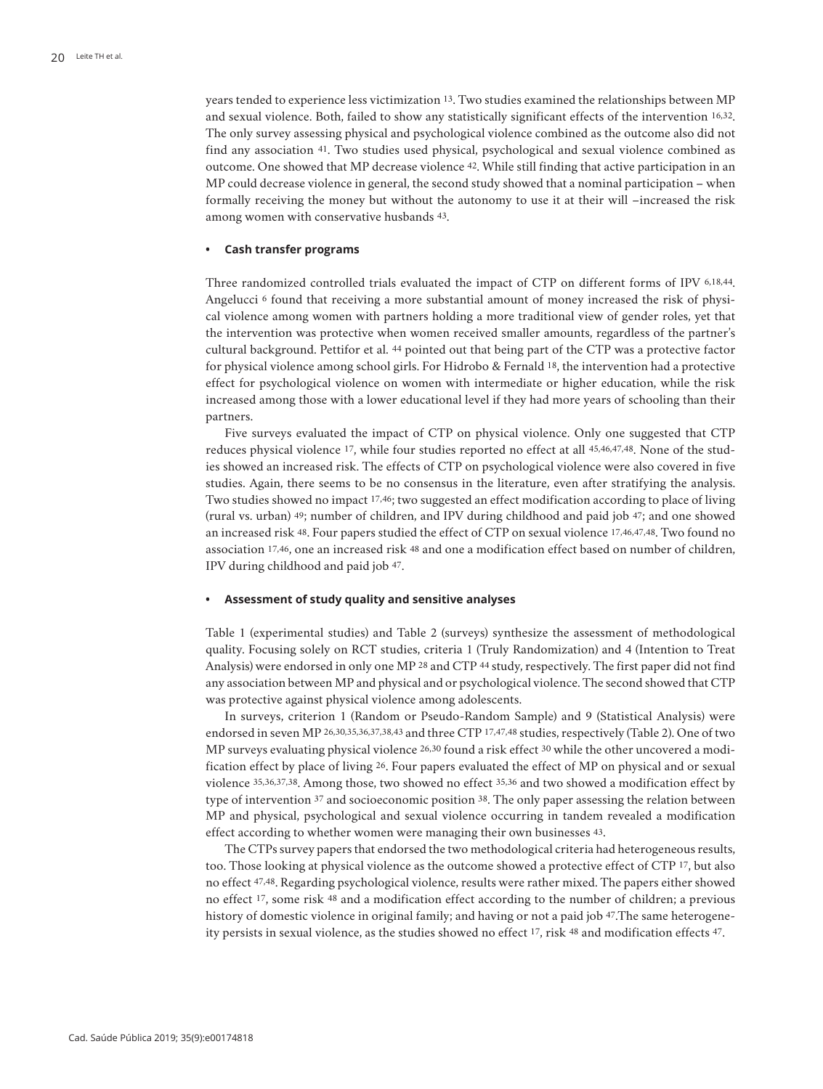years tended to experience less victimization 13. Two studies examined the relationships between MP and sexual violence. Both, failed to show any statistically significant effects of the intervention 16,32. The only survey assessing physical and psychological violence combined as the outcome also did not find any association 41. Two studies used physical, psychological and sexual violence combined as outcome. One showed that MP decrease violence 42. While still finding that active participation in an MP could decrease violence in general, the second study showed that a nominal participation – when formally receiving the money but without the autonomy to use it at their will –increased the risk among women with conservative husbands 43.

#### **• Cash transfer programs**

Three randomized controlled trials evaluated the impact of CTP on different forms of IPV 6,18,44. Angelucci 6 found that receiving a more substantial amount of money increased the risk of physical violence among women with partners holding a more traditional view of gender roles, yet that the intervention was protective when women received smaller amounts, regardless of the partner's cultural background. Pettifor et al. 44 pointed out that being part of the CTP was a protective factor for physical violence among school girls. For Hidrobo & Fernald 18, the intervention had a protective effect for psychological violence on women with intermediate or higher education, while the risk increased among those with a lower educational level if they had more years of schooling than their partners.

Five surveys evaluated the impact of CTP on physical violence. Only one suggested that CTP reduces physical violence 17, while four studies reported no effect at all 45,46,47,48. None of the studies showed an increased risk. The effects of CTP on psychological violence were also covered in five studies. Again, there seems to be no consensus in the literature, even after stratifying the analysis. Two studies showed no impact 17,46; two suggested an effect modification according to place of living (rural vs. urban) 49; number of children, and IPV during childhood and paid job 47; and one showed an increased risk 48. Four papers studied the effect of CTP on sexual violence 17,46,47,48. Two found no association 17,46, one an increased risk 48 and one a modification effect based on number of children, IPV during childhood and paid job 47.

#### **• Assessment of study quality and sensitive analyses**

Table 1 (experimental studies) and Table 2 (surveys) synthesize the assessment of methodological quality. Focusing solely on RCT studies, criteria 1 (Truly Randomization) and 4 (Intention to Treat Analysis) were endorsed in only one MP 28 and CTP 44 study, respectively. The first paper did not find any association between MP and physical and or psychological violence. The second showed that CTP was protective against physical violence among adolescents.

In surveys, criterion 1 (Random or Pseudo-Random Sample) and 9 (Statistical Analysis) were endorsed in seven MP 26,30,35,36,37,38,43 and three CTP 17,47,48 studies, respectively (Table 2). One of two MP surveys evaluating physical violence 26,30 found a risk effect 30 while the other uncovered a modification effect by place of living 26. Four papers evaluated the effect of MP on physical and or sexual violence 35,36,37,38. Among those, two showed no effect 35,36 and two showed a modification effect by type of intervention 37 and socioeconomic position 38. The only paper assessing the relation between MP and physical, psychological and sexual violence occurring in tandem revealed a modification effect according to whether women were managing their own businesses 43.

The CTPs survey papers that endorsed the two methodological criteria had heterogeneous results, too. Those looking at physical violence as the outcome showed a protective effect of CTP 17, but also no effect 47,48. Regarding psychological violence, results were rather mixed. The papers either showed no effect 17, some risk 48 and a modification effect according to the number of children; a previous history of domestic violence in original family; and having or not a paid job 47. The same heterogeneity persists in sexual violence, as the studies showed no effect 17, risk 48 and modification effects 47.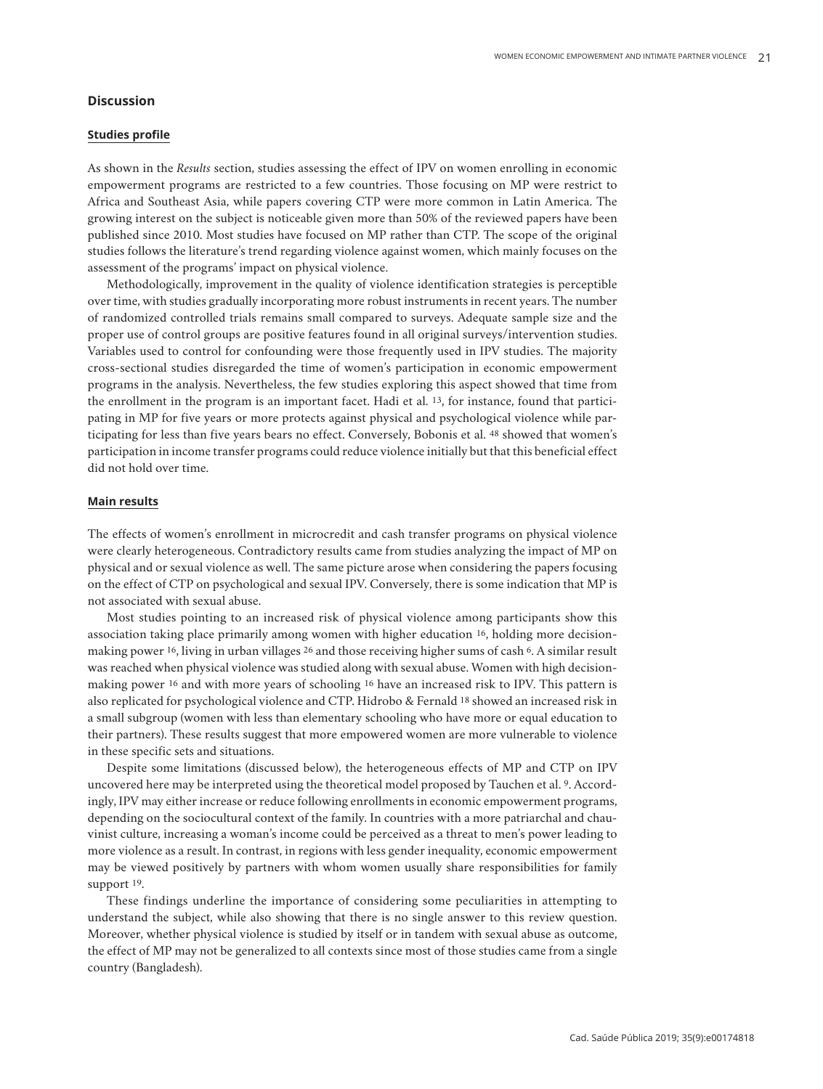# **Discussion**

# **Studies profile**

As shown in the *Results* section, studies assessing the effect of IPV on women enrolling in economic empowerment programs are restricted to a few countries. Those focusing on MP were restrict to Africa and Southeast Asia, while papers covering CTP were more common in Latin America. The growing interest on the subject is noticeable given more than 50% of the reviewed papers have been published since 2010. Most studies have focused on MP rather than CTP. The scope of the original studies follows the literature's trend regarding violence against women, which mainly focuses on the assessment of the programs' impact on physical violence.

Methodologically, improvement in the quality of violence identification strategies is perceptible over time, with studies gradually incorporating more robust instruments in recent years. The number of randomized controlled trials remains small compared to surveys. Adequate sample size and the proper use of control groups are positive features found in all original surveys/intervention studies. Variables used to control for confounding were those frequently used in IPV studies. The majority cross-sectional studies disregarded the time of women's participation in economic empowerment programs in the analysis. Nevertheless, the few studies exploring this aspect showed that time from the enrollment in the program is an important facet. Hadi et al. 13, for instance, found that participating in MP for five years or more protects against physical and psychological violence while participating for less than five years bears no effect. Conversely, Bobonis et al. 48 showed that women's participation in income transfer programs could reduce violence initially but that this beneficial effect did not hold over time.

# **Main results**

The effects of women's enrollment in microcredit and cash transfer programs on physical violence were clearly heterogeneous. Contradictory results came from studies analyzing the impact of MP on physical and or sexual violence as well. The same picture arose when considering the papers focusing on the effect of CTP on psychological and sexual IPV. Conversely, there is some indication that MP is not associated with sexual abuse.

Most studies pointing to an increased risk of physical violence among participants show this association taking place primarily among women with higher education 16, holding more decisionmaking power 16, living in urban villages 26 and those receiving higher sums of cash 6. A similar result was reached when physical violence was studied along with sexual abuse. Women with high decisionmaking power 16 and with more years of schooling 16 have an increased risk to IPV. This pattern is also replicated for psychological violence and CTP. Hidrobo & Fernald 18 showed an increased risk in a small subgroup (women with less than elementary schooling who have more or equal education to their partners). These results suggest that more empowered women are more vulnerable to violence in these specific sets and situations.

Despite some limitations (discussed below), the heterogeneous effects of MP and CTP on IPV uncovered here may be interpreted using the theoretical model proposed by Tauchen et al. 9. Accordingly, IPV may either increase or reduce following enrollments in economic empowerment programs, depending on the sociocultural context of the family. In countries with a more patriarchal and chauvinist culture, increasing a woman's income could be perceived as a threat to men's power leading to more violence as a result. In contrast, in regions with less gender inequality, economic empowerment may be viewed positively by partners with whom women usually share responsibilities for family support 19.

These findings underline the importance of considering some peculiarities in attempting to understand the subject, while also showing that there is no single answer to this review question. Moreover, whether physical violence is studied by itself or in tandem with sexual abuse as outcome, the effect of MP may not be generalized to all contexts since most of those studies came from a single country (Bangladesh).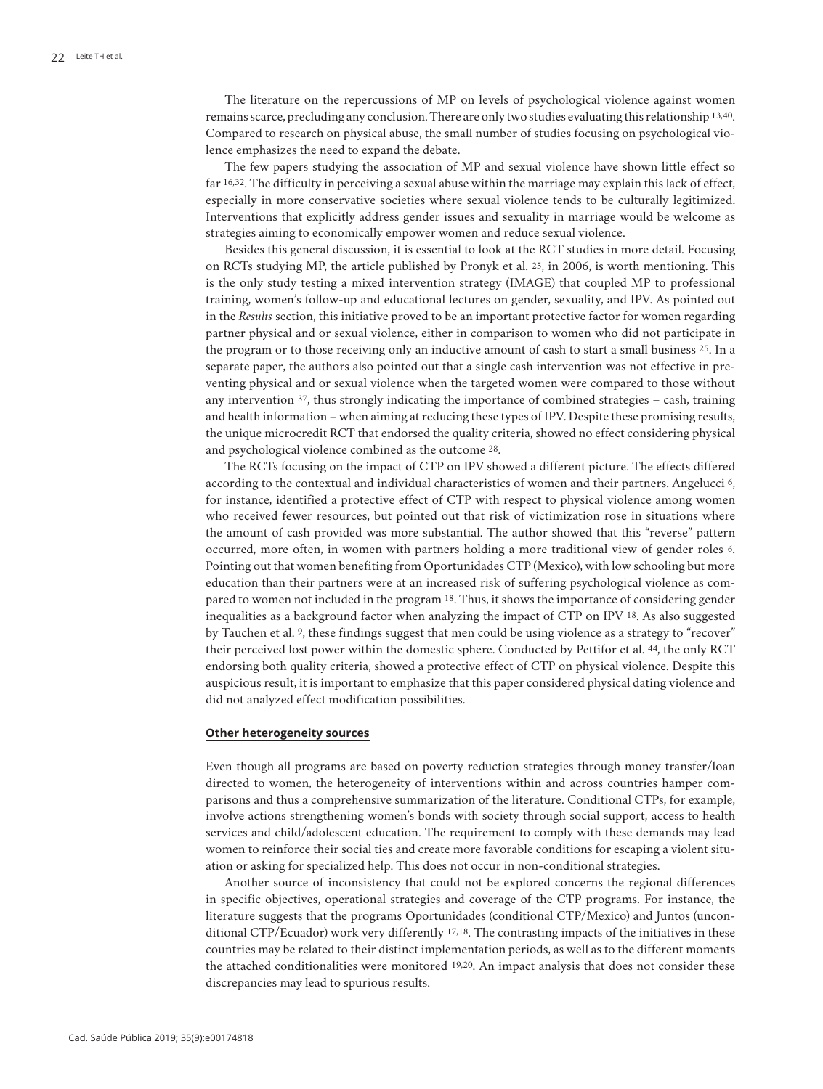The literature on the repercussions of MP on levels of psychological violence against women remains scarce, precluding any conclusion. There are only two studies evaluating this relationship 13,40. Compared to research on physical abuse, the small number of studies focusing on psychological violence emphasizes the need to expand the debate.

The few papers studying the association of MP and sexual violence have shown little effect so far 16,32. The difficulty in perceiving a sexual abuse within the marriage may explain this lack of effect, especially in more conservative societies where sexual violence tends to be culturally legitimized. Interventions that explicitly address gender issues and sexuality in marriage would be welcome as strategies aiming to economically empower women and reduce sexual violence.

Besides this general discussion, it is essential to look at the RCT studies in more detail. Focusing on RCTs studying MP, the article published by Pronyk et al. 25, in 2006, is worth mentioning. This is the only study testing a mixed intervention strategy (IMAGE) that coupled MP to professional training, women's follow-up and educational lectures on gender, sexuality, and IPV. As pointed out in the *Results* section, this initiative proved to be an important protective factor for women regarding partner physical and or sexual violence, either in comparison to women who did not participate in the program or to those receiving only an inductive amount of cash to start a small business 25. In a separate paper, the authors also pointed out that a single cash intervention was not effective in preventing physical and or sexual violence when the targeted women were compared to those without any intervention 37, thus strongly indicating the importance of combined strategies – cash, training and health information – when aiming at reducing these types of IPV. Despite these promising results, the unique microcredit RCT that endorsed the quality criteria, showed no effect considering physical and psychological violence combined as the outcome 28.

The RCTs focusing on the impact of CTP on IPV showed a different picture. The effects differed according to the contextual and individual characteristics of women and their partners. Angelucci 6, for instance, identified a protective effect of CTP with respect to physical violence among women who received fewer resources, but pointed out that risk of victimization rose in situations where the amount of cash provided was more substantial. The author showed that this "reverse" pattern occurred, more often, in women with partners holding a more traditional view of gender roles 6. Pointing out that women benefiting from Oportunidades CTP (Mexico), with low schooling but more education than their partners were at an increased risk of suffering psychological violence as compared to women not included in the program 18. Thus, it shows the importance of considering gender inequalities as a background factor when analyzing the impact of CTP on IPV 18. As also suggested by Tauchen et al. 9, these findings suggest that men could be using violence as a strategy to "recover" their perceived lost power within the domestic sphere. Conducted by Pettifor et al. 44, the only RCT endorsing both quality criteria, showed a protective effect of CTP on physical violence. Despite this auspicious result, it is important to emphasize that this paper considered physical dating violence and did not analyzed effect modification possibilities.

#### **Other heterogeneity sources**

Even though all programs are based on poverty reduction strategies through money transfer/loan directed to women, the heterogeneity of interventions within and across countries hamper comparisons and thus a comprehensive summarization of the literature. Conditional CTPs, for example, involve actions strengthening women's bonds with society through social support, access to health services and child/adolescent education. The requirement to comply with these demands may lead women to reinforce their social ties and create more favorable conditions for escaping a violent situation or asking for specialized help. This does not occur in non-conditional strategies.

Another source of inconsistency that could not be explored concerns the regional differences in specific objectives, operational strategies and coverage of the CTP programs. For instance, the literature suggests that the programs Oportunidades (conditional CTP/Mexico) and Juntos (unconditional CTP/Ecuador) work very differently 17,18. The contrasting impacts of the initiatives in these countries may be related to their distinct implementation periods, as well as to the different moments the attached conditionalities were monitored 19,20. An impact analysis that does not consider these discrepancies may lead to spurious results.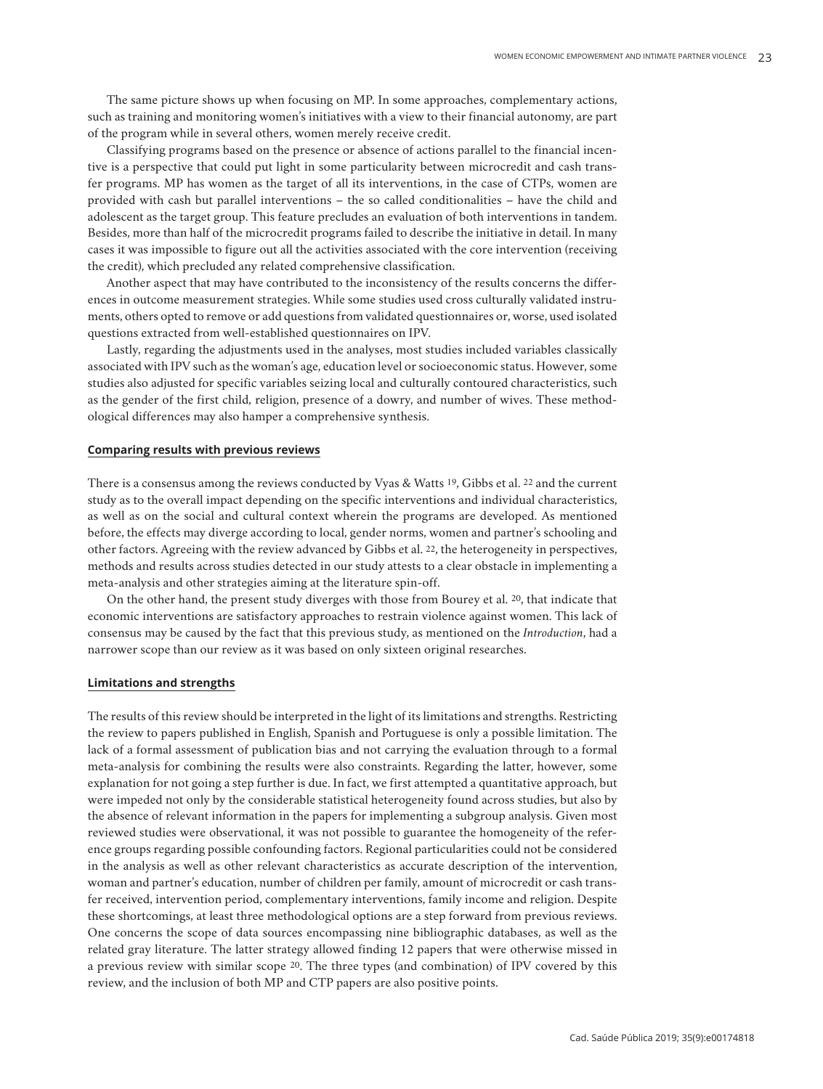The same picture shows up when focusing on MP. In some approaches, complementary actions, such as training and monitoring women's initiatives with a view to their financial autonomy, are part of the program while in several others, women merely receive credit.

Classifying programs based on the presence or absence of actions parallel to the financial incentive is a perspective that could put light in some particularity between microcredit and cash transfer programs. MP has women as the target of all its interventions, in the case of CTPs, women are provided with cash but parallel interventions – the so called conditionalities – have the child and adolescent as the target group. This feature precludes an evaluation of both interventions in tandem. Besides, more than half of the microcredit programs failed to describe the initiative in detail. In many cases it was impossible to figure out all the activities associated with the core intervention (receiving the credit), which precluded any related comprehensive classification.

Another aspect that may have contributed to the inconsistency of the results concerns the differences in outcome measurement strategies. While some studies used cross culturally validated instruments, others opted to remove or add questions from validated questionnaires or, worse, used isolated questions extracted from well-established questionnaires on IPV.

Lastly, regarding the adjustments used in the analyses, most studies included variables classically associated with IPV such as the woman's age, education level or socioeconomic status. However, some studies also adjusted for specific variables seizing local and culturally contoured characteristics, such as the gender of the first child, religion, presence of a dowry, and number of wives. These methodological differences may also hamper a comprehensive synthesis.

# **Comparing results with previous reviews**

There is a consensus among the reviews conducted by Vyas & Watts 19, Gibbs et al. 22 and the current study as to the overall impact depending on the specific interventions and individual characteristics, as well as on the social and cultural context wherein the programs are developed. As mentioned before, the effects may diverge according to local, gender norms, women and partner's schooling and other factors. Agreeing with the review advanced by Gibbs et al. 22, the heterogeneity in perspectives, methods and results across studies detected in our study attests to a clear obstacle in implementing a meta-analysis and other strategies aiming at the literature spin-off.

On the other hand, the present study diverges with those from Bourey et al. 20, that indicate that economic interventions are satisfactory approaches to restrain violence against women. This lack of consensus may be caused by the fact that this previous study, as mentioned on the *Introduction*, had a narrower scope than our review as it was based on only sixteen original researches.

## **Limitations and strengths**

The results of this review should be interpreted in the light of its limitations and strengths. Restricting the review to papers published in English, Spanish and Portuguese is only a possible limitation. The lack of a formal assessment of publication bias and not carrying the evaluation through to a formal meta-analysis for combining the results were also constraints. Regarding the latter, however, some explanation for not going a step further is due. In fact, we first attempted a quantitative approach, but were impeded not only by the considerable statistical heterogeneity found across studies, but also by the absence of relevant information in the papers for implementing a subgroup analysis. Given most reviewed studies were observational, it was not possible to guarantee the homogeneity of the reference groups regarding possible confounding factors. Regional particularities could not be considered in the analysis as well as other relevant characteristics as accurate description of the intervention, woman and partner's education, number of children per family, amount of microcredit or cash transfer received, intervention period, complementary interventions, family income and religion. Despite these shortcomings, at least three methodological options are a step forward from previous reviews. One concerns the scope of data sources encompassing nine bibliographic databases, as well as the related gray literature. The latter strategy allowed finding 12 papers that were otherwise missed in a previous review with similar scope 20. The three types (and combination) of IPV covered by this review, and the inclusion of both MP and CTP papers are also positive points.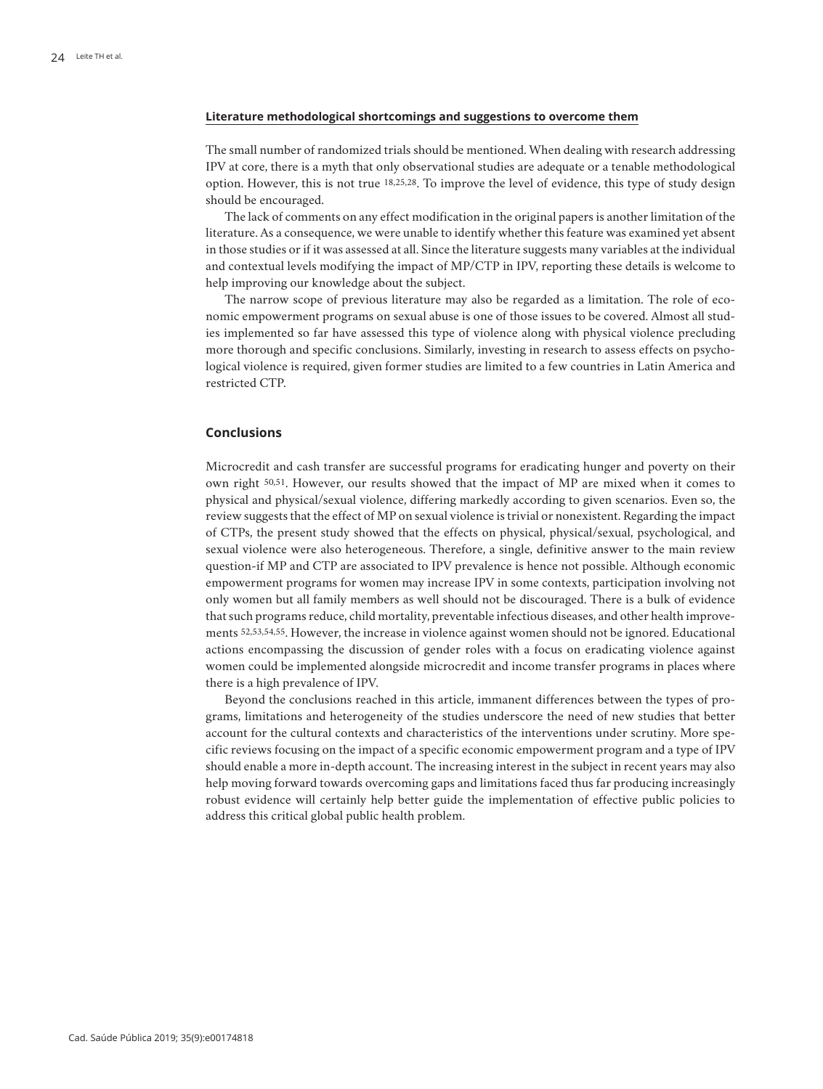#### **Literature methodological shortcomings and suggestions to overcome them**

The small number of randomized trials should be mentioned. When dealing with research addressing IPV at core, there is a myth that only observational studies are adequate or a tenable methodological option. However, this is not true 18,25,28. To improve the level of evidence, this type of study design should be encouraged.

The lack of comments on any effect modification in the original papers is another limitation of the literature. As a consequence, we were unable to identify whether this feature was examined yet absent in those studies or if it was assessed at all. Since the literature suggests many variables at the individual and contextual levels modifying the impact of MP/CTP in IPV, reporting these details is welcome to help improving our knowledge about the subject.

The narrow scope of previous literature may also be regarded as a limitation. The role of economic empowerment programs on sexual abuse is one of those issues to be covered. Almost all studies implemented so far have assessed this type of violence along with physical violence precluding more thorough and specific conclusions. Similarly, investing in research to assess effects on psychological violence is required, given former studies are limited to a few countries in Latin America and restricted CTP.

# **Conclusions**

Microcredit and cash transfer are successful programs for eradicating hunger and poverty on their own right 50,51. However, our results showed that the impact of MP are mixed when it comes to physical and physical/sexual violence, differing markedly according to given scenarios. Even so, the review suggests that the effect of MP on sexual violence is trivial or nonexistent. Regarding the impact of CTPs, the present study showed that the effects on physical, physical/sexual, psychological, and sexual violence were also heterogeneous. Therefore, a single, definitive answer to the main review question-if MP and CTP are associated to IPV prevalence is hence not possible. Although economic empowerment programs for women may increase IPV in some contexts, participation involving not only women but all family members as well should not be discouraged. There is a bulk of evidence that such programs reduce, child mortality, preventable infectious diseases, and other health improvements 52,53,54,55. However, the increase in violence against women should not be ignored. Educational actions encompassing the discussion of gender roles with a focus on eradicating violence against women could be implemented alongside microcredit and income transfer programs in places where there is a high prevalence of IPV.

Beyond the conclusions reached in this article, immanent differences between the types of programs, limitations and heterogeneity of the studies underscore the need of new studies that better account for the cultural contexts and characteristics of the interventions under scrutiny. More specific reviews focusing on the impact of a specific economic empowerment program and a type of IPV should enable a more in-depth account. The increasing interest in the subject in recent years may also help moving forward towards overcoming gaps and limitations faced thus far producing increasingly robust evidence will certainly help better guide the implementation of effective public policies to address this critical global public health problem.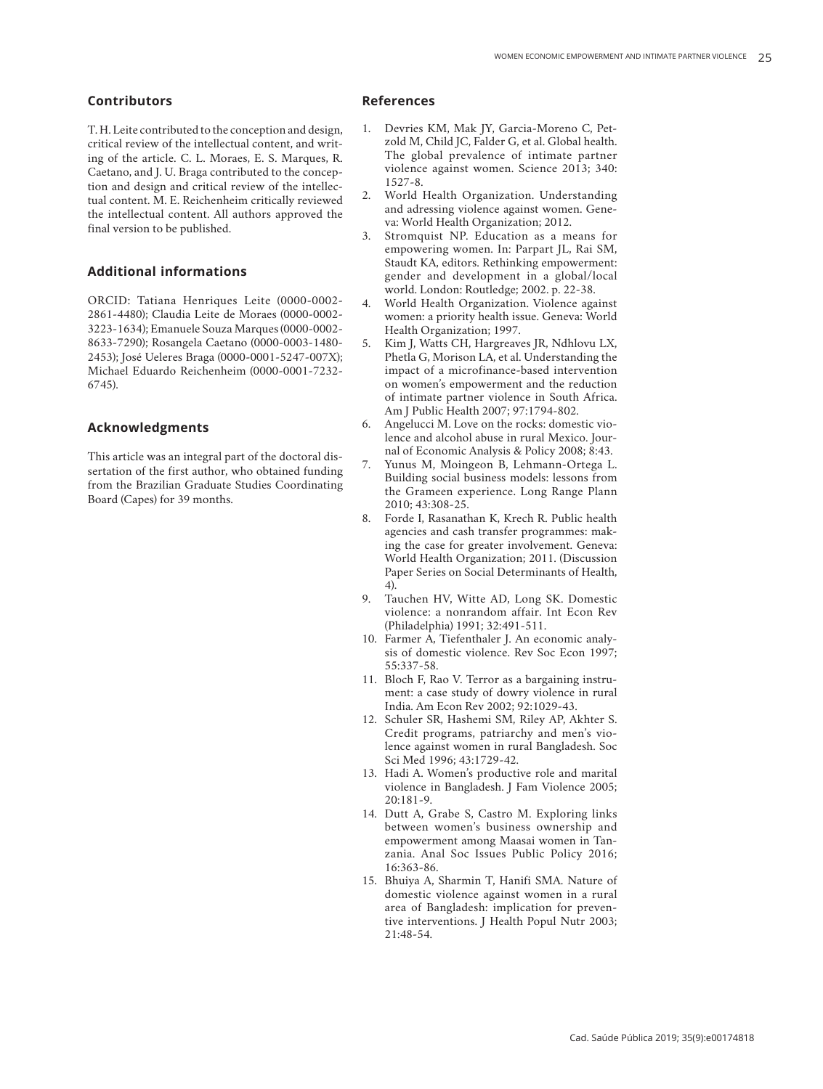# **Contributors**

T. H. Leite contributed to the conception and design, critical review of the intellectual content, and writ ing of the article. C. L. Moraes, E. S. Marques, R. Caetano, and J. U. Braga contributed to the concep tion and design and critical review of the intellec tual content. M. E. Reichenheim critically reviewed the intellectual content. All authors approved the final version to be published.

# **Additional informations**

ORCID: Tatiana Henriques Leite (0000-0002- 2861-4480); Claudia Leite de Moraes (0000-0002- 3223-1634); Emanuele Souza Marques (0000-0002- 8633-7290); Rosangela Caetano (0000-0003-1480- 2453); José Ueleres Braga (0000-0001-5247-007X); Michael Eduardo Reichenheim (0000-0001-7232- 6745).

# **Acknowledgments**

This article was an integral part of the doctoral dis sertation of the first author, who obtained funding from the Brazilian Graduate Studies Coordinating Board (Capes) for 39 months.

# **References**

- 1. Devries KM, Mak JY, Garcia-Moreno C, Pet zold M, Child JC, Falder G, et al. Global health. The global prevalence of intimate partner violence against women. Science 2013; 340: 1527-8.
- 2. World Health Organization. Understanding and adressing violence against women. Gene va: World Health Organization; 2012.
- 3. Stromquist NP. Education as a means for empowering women. In: Parpart JL, Rai SM, Staudt KA, editors. Rethinking empowerment: gender and development in a global/local world. London: Routledge; 2002. p. 22-38.
- 4. World Health Organization. Violence against women: a priority health issue. Geneva: World Health Organization; 1997.
- 5. Kim J, Watts CH, Hargreaves JR, Ndhlovu LX, Phetla G, Morison LA, et al. Understanding the impact of a microfinance-based intervention on women's empowerment and the reduction of intimate partner violence in South Africa. Am J Public Health 2007; 97:1794-802.
- 6. Angelucci M. Love on the rocks: domestic vio lence and alcohol abuse in rural Mexico. Jour nal of Economic Analysis & Policy 2008; 8:43.
- 7. Yunus M, Moingeon B, Lehmann-Ortega L. Building social business models: lessons from the Grameen experience. Long Range Plann 2010; 43:308-25.
- 8. Forde I, Rasanathan K, Krech R. Public health agencies and cash transfer programmes: mak ing the case for greater involvement. Geneva: World Health Organization; 2011. (Discussion Paper Series on Social Determinants of Health, 4).
- 9. Tauchen HV, Witte AD, Long SK. Domestic violence: a nonrandom affair. Int Econ Rev (Philadelphia) 1991; 32:491-511.
- 10. Farmer A, Tiefenthaler J. An economic analy sis of domestic violence. Rev Soc Econ 1997; 55:337-58.
- 11. Bloch F, Rao V. Terror as a bargaining instru ment: a case study of dowry violence in rural India. Am Econ Rev 2002; 92:1029-43.
- 12. Schuler SR, Hashemi SM, Riley AP, Akhter S. Credit programs, patriarchy and men's vio lence against women in rural Bangladesh. Soc Sci Med 1996; 43:1729-42.
- 13. Hadi A. Women's productive role and marital violence in Bangladesh. J Fam Violence 2005; 20:181-9.
- 14. Dutt A, Grabe S, Castro M. Exploring links between women's business ownership and empowerment among Maasai women in Tan zania. Anal Soc Issues Public Policy 2016; 16:363-86.
- 15. Bhuiya A, Sharmin T, Hanifi SMA. Nature of domestic violence against women in a rural area of Bangladesh: implication for preven tive interventions. J Health Popul Nutr 2003; 21:48-54.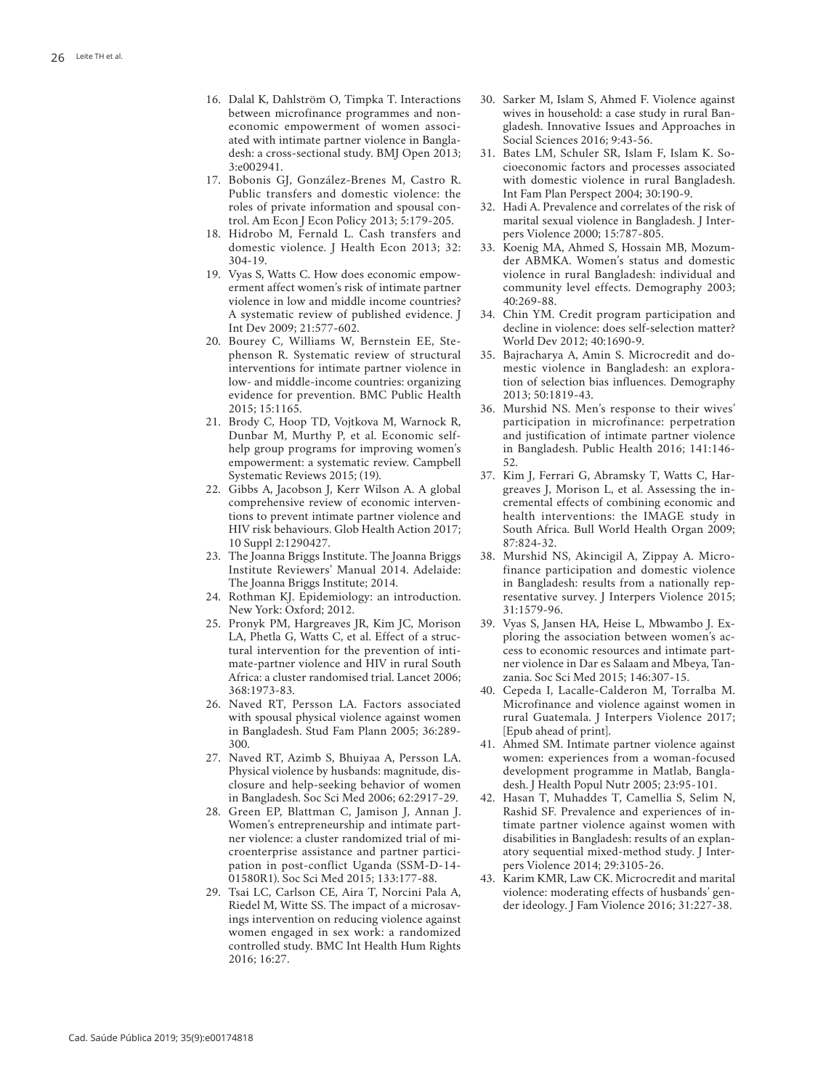- 16. Dalal K, Dahlström O, Timpka T. Interactions between microfinance programmes and noneconomic empowerment of women associated with intimate partner violence in Bangladesh: a cross-sectional study. BMJ Open 2013; 3:e002941.
- 17. Bobonis GJ, González-Brenes M, Castro R. Public transfers and domestic violence: the roles of private information and spousal con trol. Am Econ J Econ Policy 2013; 5:179-205.
- 18. Hidrobo M, Fernald L. Cash transfers and domestic violence. J Health Econ 2013; 32: 304-19.
- 19. Vyas S, Watts C. How does economic empow erment affect women's risk of intimate partner violence in low and middle income countries? A systematic review of published evidence. J Int Dev 2009; 21:577-602.
- 20. Bourey C, Williams W, Bernstein EE, Ste phenson R. Systematic review of structural interventions for intimate partner violence in low- and middle-income countries: organizing evidence for prevention. BMC Public Health 2015; 15:1165.
- 21. Brody C, Hoop TD, Vojtkova M, Warnock R, Dunbar M, Murthy P, et al. Economic selfhelp group programs for improving women's empowerment: a systematic review. Campbell Systematic Reviews 2015; (19).
- 22. Gibbs A, Jacobson J, Kerr Wilson A. A global comprehensive review of economic interven tions to prevent intimate partner violence and HIV risk behaviours. Glob Health Action 2017; 10 Suppl 2:1290427.
- 23. The Joanna Briggs Institute. The Joanna Briggs Institute Reviewers' Manual 2014. Adelaide: The Joanna Briggs Institute; 2014.
- 24. Rothman KJ. Epidemiology: an introduction. New York: Oxford; 2012.
- 25. Pronyk PM, Hargreaves JR, Kim JC, Morison LA, Phetla G, Watts C, et al. Effect of a struc tural intervention for the prevention of inti mate-partner violence and HIV in rural South Africa: a cluster randomised trial. Lancet 2006; 368:1973-83.
- 26. Naved RT, Persson LA. Factors associated with spousal physical violence against women in Bangladesh. Stud Fam Plann 2005; 36:289- 300.
- 27. Naved RT, Azimb S, Bhuiyaa A, Persson LA. Physical violence by husbands: magnitude, dis closure and help-seeking behavior of women in Bangladesh. Soc Sci Med 2006; 62:2917-29.
- 28. Green EP, Blattman C, Jamison J, Annan J. Women's entrepreneurship and intimate part ner violence: a cluster randomized trial of mi croenterprise assistance and partner partici pation in post-conflict Uganda (SSM-D-14- 01580R1). Soc Sci Med 2015; 133:177-88.
- 29. Tsai LC, Carlson CE, Aira T, Norcini Pala A, Riedel M, Witte SS. The impact of a microsav ings intervention on reducing violence against women engaged in sex work: a randomized controlled study. BMC Int Health Hum Rights 2016; 16:27.
- 30. Sarker M, Islam S, Ahmed F. Violence against wives in household: a case study in rural Ban gladesh. Innovative Issues and Approaches in Social Sciences 2016; 9:43-56.
- 31. Bates LM, Schuler SR, Islam F, Islam K. So cioeconomic factors and processes associated with domestic violence in rural Bangladesh. Int Fam Plan Perspect 2004; 30:190-9.
- 32. Hadi A. Prevalence and correlates of the risk of marital sexual violence in Bangladesh. J Inter pers Violence 2000; 15:787-805.
- 33. Koenig MA, Ahmed S, Hossain MB, Mozum der ABMKA. Women's status and domestic violence in rural Bangladesh: individual and community level effects. Demography 2003; 40:269-88.
- 34. Chin YM. Credit program participation and decline in violence: does self-selection matter? World Dev 2012; 40:1690-9.
- 35. Bajracharya A, Amin S. Microcredit and do mestic violence in Bangladesh: an explora tion of selection bias influences. Demography 2013; 50:1819-43.
- 36. Murshid NS. Men's response to their wives' participation in microfinance: perpetration and justification of intimate partner violence in Bangladesh. Public Health 2016; 141:146- 52.
- 37. Kim J, Ferrari G, Abramsky T, Watts C, Har greaves J, Morison L, et al. Assessing the in cremental effects of combining economic and health interventions: the IMAGE study in South Africa. Bull World Health Organ 2009; 87:824-32.
- 38. Murshid NS, Akincigil A, Zippay A. Micro finance participation and domestic violence in Bangladesh: results from a nationally rep resentative survey. J Interpers Violence 2015; 31:1579-96.
- 39. Vyas S, Jansen HA, Heise L, Mbwambo J. Ex ploring the association between women's ac cess to economic resources and intimate part ner violence in Dar es Salaam and Mbeya, Tan zania. Soc Sci Med 2015; 146:307-15.
- 40. Cepeda I, Lacalle-Calderon M, Torralba M. Microfinance and violence against women in rural Guatemala. J Interpers Violence 2017; [Epub ahead of print].
- 41. Ahmed SM. Intimate partner violence against women: experiences from a woman-focused development programme in Matlab, Bangla desh. J Health Popul Nutr 2005; 23:95-101.
- 42. Hasan T, Muhaddes T, Camellia S, Selim N, Rashid SF. Prevalence and experiences of in timate partner violence against women with disabilities in Bangladesh: results of an explan atory sequential mixed-method study. J Inter pers Violence 2014; 29:3105-26.
- 43. Karim KMR, Law CK. Microcredit and marital violence: moderating effects of husbands' gen der ideology. J Fam Violence 2016; 31:227-38.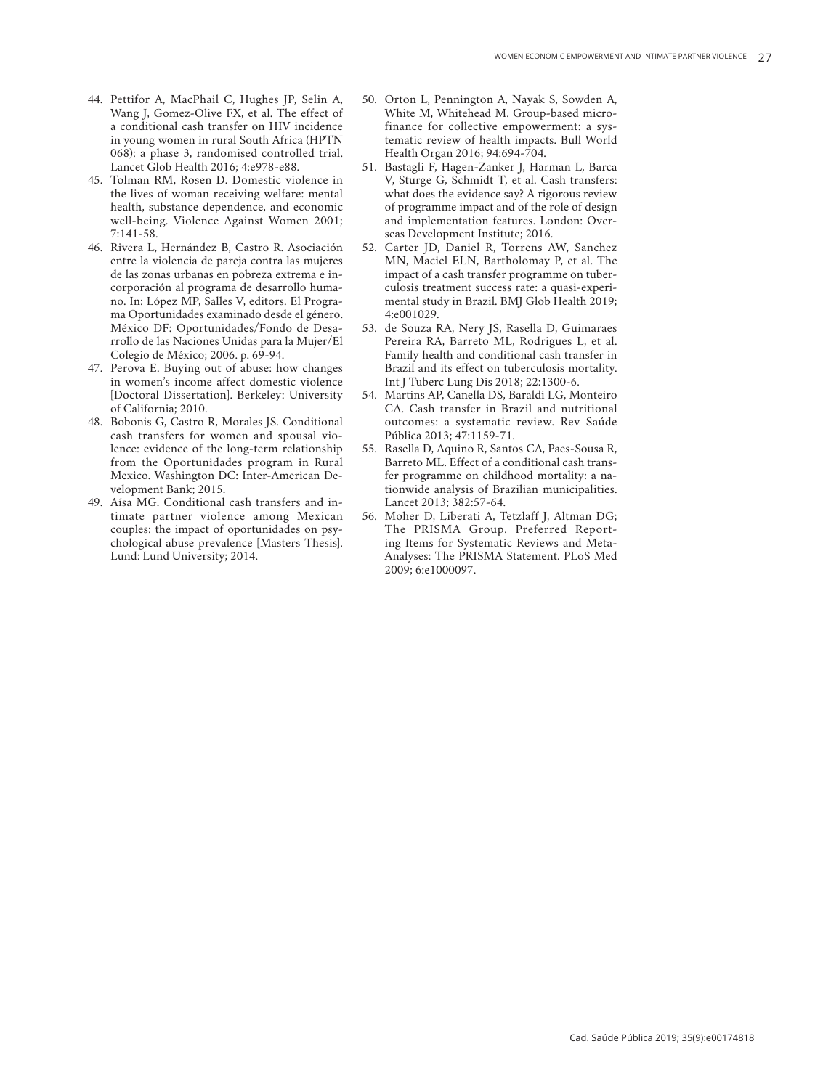- 44. Pettifor A, MacPhail C, Hughes JP, Selin A, Wang J, Gomez-Olive FX, et al. The effect of a conditional cash transfer on HIV incidence in young women in rural South Africa (HPTN 068): a phase 3, randomised controlled trial. Lancet Glob Health 2016; 4:e978-e88.
- 45. Tolman RM, Rosen D. Domestic violence in the lives of woman receiving welfare: mental health, substance dependence, and economic well-being. Violence Against Women 2001; 7:141-58.
- 46. Rivera L, Hernández B, Castro R. Asociación entre la violencia de pareja contra las mujeres de las zonas urbanas en pobreza extrema e in corporación al programa de desarrollo huma no. In: López MP, Salles V, editors. El Progra ma Oportunidades examinado desde el género. México DF: Oportunidades/Fondo de Desa rrollo de las Naciones Unidas para la Mujer/El Colegio de México; 2006. p. 69-94.
- 47. Perova E. Buying out of abuse: how changes in women's income affect domestic violence [Doctoral Dissertation]. Berkeley: University of California; 2010.
- 48. Bobonis G, Castro R, Morales JS. Conditional cash transfers for women and spousal vio lence: evidence of the long-term relationship from the Oportunidades program in Rural Mexico. Washington DC: Inter-American De velopment Bank; 2015.
- 49. Aísa MG. Conditional cash transfers and in timate partner violence among Mexican couples: the impact of oportunidades on psy chological abuse prevalence [Masters Thesis]. Lund: Lund University; 2014.
- 50. Orton L, Pennington A, Nayak S, Sowden A, White M, Whitehead M. Group-based micro finance for collective empowerment: a sys tematic review of health impacts. Bull World Health Organ 2016; 94:694-704.
- 51. Bastagli F, Hagen-Zanker J, Harman L, Barca V, Sturge G, Schmidt T, et al. Cash transfers: what does the evidence say? A rigorous review of programme impact and of the role of design and implementation features. London: Over seas Development Institute; 2016.
- 52. Carter JD, Daniel R, Torrens AW, Sanchez MN, Maciel ELN, Bartholomay P, et al. The impact of a cash transfer programme on tuber culosis treatment success rate: a quasi-experi mental study in Brazil. BMJ Glob Health 2019; 4:e001029.
- 53. de Souza RA, Nery JS, Rasella D, Guimaraes Pereira RA, Barreto ML, Rodrigues L, et al. Family health and conditional cash transfer in Brazil and its effect on tuberculosis mortality. Int J Tuberc Lung Dis 2018; 22:1300-6.
- 54. Martins AP, Canella DS, Baraldi LG, Monteiro CA. Cash transfer in Brazil and nutritional outcomes: a systematic review. Rev Saúde Pública 2013; 47:1159-71.
- 55. Rasella D, Aquino R, Santos CA, Paes-Sousa R, Barreto ML. Effect of a conditional cash trans fer programme on childhood mortality: a na tionwide analysis of Brazilian municipalities. Lancet 2013; 382:57-64.
- 56. Moher D, Liberati A, Tetzlaff J, Altman DG; The PRISMA Group. Preferred Report ing Items for Systematic Reviews and Meta-Analyses: The PRISMA Statement. PLoS Med 2009; 6:e1000097.